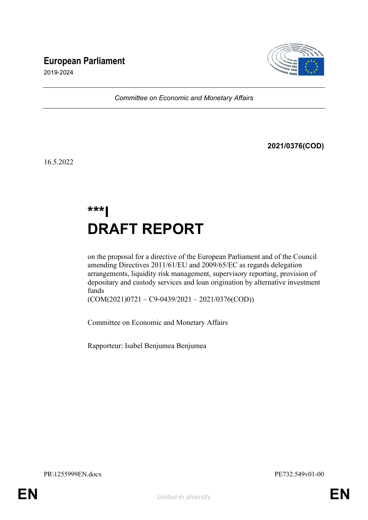# **European Parliament**



2019-2024

*Committee on Economic and Monetary Affairs*

**2021/0376(COD)**

16.5.2022

# **\*\*\*I DRAFT REPORT**

on the proposal for a directive of the European Parliament and of the Council amending Directives 2011/61/EU and 2009/65/EC as regards delegation arrangements, liquidity risk management, supervisory reporting, provision of depositary and custody services and loan origination by alternative investment funds

(COM(2021)0721 – C9-0439/2021 – 2021/0376(COD))

Committee on Economic and Monetary Affairs

Rapporteur: Isabel Benjumea Benjumea

PR\1255999EN.docx PE732.549v01-00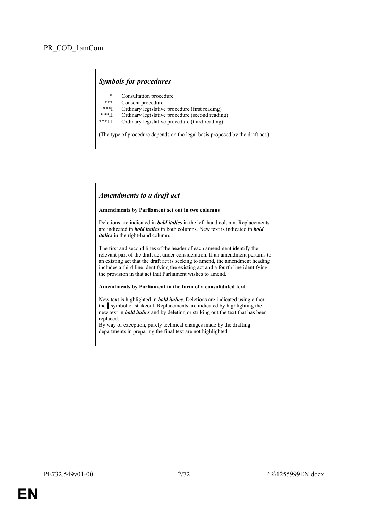# *Symbols for procedures*

- \* Consultation procedure
- Consent procedure
- \*\*\*I Ordinary legislative procedure (first reading)<br>\*\*\*II Ordinary legislative procedure (second reading)
- \*\*\*II Ordinary legislative procedure (second reading)
- Ordinary legislative procedure (third reading)

(The type of procedure depends on the legal basis proposed by the draft act.)

#### *Amendments to a draft act*

#### **Amendments by Parliament set out in two columns**

Deletions are indicated in *bold italics* in the left-hand column. Replacements are indicated in *bold italics* in both columns. New text is indicated in *bold italics* in the right-hand column.

The first and second lines of the header of each amendment identify the relevant part of the draft act under consideration. If an amendment pertains to an existing act that the draft act is seeking to amend, the amendment heading includes a third line identifying the existing act and a fourth line identifying the provision in that act that Parliament wishes to amend.

#### **Amendments by Parliament in the form of a consolidated text**

New text is highlighted in *bold italics*. Deletions are indicated using either the symbol or strikeout. Replacements are indicated by highlighting the new text in *bold italics* and by deleting or striking out the text that has been replaced.

By way of exception, purely technical changes made by the drafting departments in preparing the final text are not highlighted.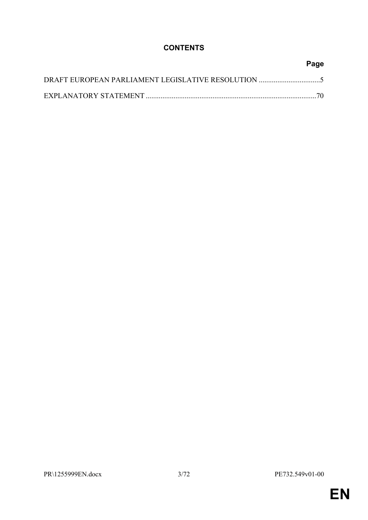# **CONTENTS**

| Page |
|------|
|      |
| -70  |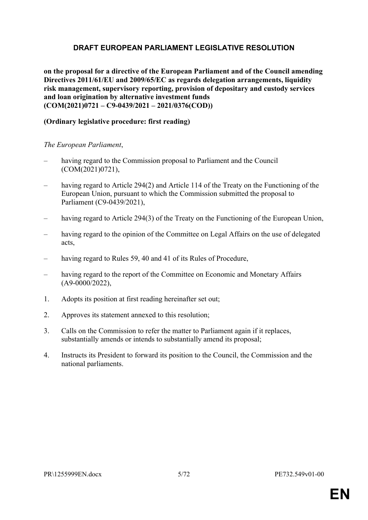# <span id="page-4-0"></span>**DRAFT EUROPEAN PARLIAMENT LEGISLATIVE RESOLUTION**

**on the proposal for a directive of the European Parliament and of the Council amending Directives 2011/61/EU and 2009/65/EC as regards delegation arrangements, liquidity risk management, supervisory reporting, provision of depositary and custody services and loan origination by alternative investment funds (COM(2021)0721 – C9-0439/2021 – 2021/0376(COD))**

# **(Ordinary legislative procedure: first reading)**

*The European Parliament*,

- having regard to the Commission proposal to Parliament and the Council (COM(2021)0721),
- having regard to Article 294(2) and Article 114 of the Treaty on the Functioning of the European Union, pursuant to which the Commission submitted the proposal to Parliament (C9-0439/2021),
- having regard to Article 294(3) of the Treaty on the Functioning of the European Union,
- having regard to the opinion of the Committee on Legal Affairs on the use of delegated acts,
- having regard to Rules 59, 40 and 41 of its Rules of Procedure,
- having regard to the report of the Committee on Economic and Monetary Affairs (A9-0000/2022),
- 1. Adopts its position at first reading hereinafter set out;
- 2. Approves its statement annexed to this resolution;
- 3. Calls on the Commission to refer the matter to Parliament again if it replaces, substantially amends or intends to substantially amend its proposal;
- 4. Instructs its President to forward its position to the Council, the Commission and the national parliaments.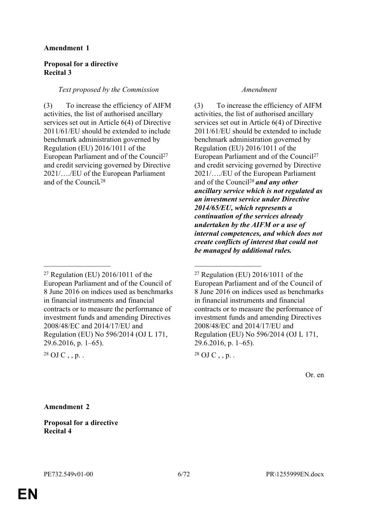### **Proposal for a directive Recital 3**

### *Text proposed by the Commission Amendment*

(3) To increase the efficiency of AIFM activities, the list of authorised ancillary services set out in Article 6(4) of Directive 2011/61/EU should be extended to include benchmark administration governed by Regulation (EU) 2016/1011 of the European Parliament and of the Council<sup>27</sup> and credit servicing governed by Directive 2021/…./EU of the European Parliament and of the Council*.* 28

 $\mathcal{L}_\text{max}$  , and the contract of the contract of the contract of the contract of the contract of the contract of

(3) To increase the efficiency of AIFM activities, the list of authorised ancillary services set out in Article 6(4) of Directive 2011/61/EU should be extended to include benchmark administration governed by Regulation (EU) 2016/1011 of the European Parliament and of the Council<sup>27</sup> and credit servicing governed by Directive 2021/…./EU of the European Parliament and of the Council<sup>28</sup>*and any other ancillary service which is not regulated as an investment service under Directive 2014/65/EU, which represents a continuation of the services already undertaken by the AIFM or a use of internal competences, and which does not create conflicts of interest that could not be managed by additional rules.*

Or. en

**Amendment 2**

**Proposal for a directive Recital 4**

 $27$  Regulation (EU) 2016/1011 of the European Parliament and of the Council of 8 June 2016 on indices used as benchmarks in financial instruments and financial contracts or to measure the performance of investment funds and amending Directives 2008/48/EC and 2014/17/EU and Regulation (EU) No 596/2014 (OJ L 171, 29.6.2016, p. 1–65).

<sup>&</sup>lt;sup>28</sup> OJ C,, p.

 $27$  Regulation (EU) 2016/1011 of the European Parliament and of the Council of 8 June 2016 on indices used as benchmarks in financial instruments and financial contracts or to measure the performance of investment funds and amending Directives 2008/48/EC and 2014/17/EU and Regulation (EU) No 596/2014 (OJ L 171, 29.6.2016, p. 1–65).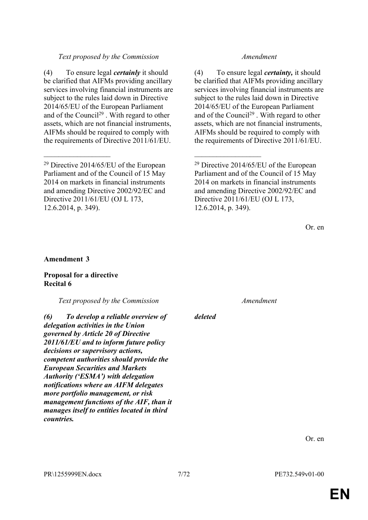# *Text proposed by the Commission Amendment*

(4) To ensure legal *certainly* it should be clarified that AIFMs providing ancillary services involving financial instruments are subject to the rules laid down in Directive 2014/65/EU of the European Parliament and of the Council<sup>29</sup>. With regard to other assets, which are not financial instruments, AIFMs should be required to comply with the requirements of Directive 2011/61/EU.

 $\mathcal{L}_\text{max}$  , and the contract of the contract of the contract of the contract of the contract of the contract of

(4) To ensure legal *certainty,* it should be clarified that AIFMs providing ancillary services involving financial instruments are subject to the rules laid down in Directive 2014/65/EU of the European Parliament and of the Council<sup>29</sup>. With regard to other assets, which are not financial instruments, AIFMs should be required to comply with the requirements of Directive 2011/61/EU.

Or. en

#### **Amendment 3**

#### **Proposal for a directive Recital 6**

*Text proposed by the Commission Amendment*

*(6) To develop a reliable overview of delegation activities in the Union governed by Article 20 of Directive 2011/61/EU and to inform future policy decisions or supervisory actions, competent authorities should provide the European Securities and Markets Authority ('ESMA') with delegation notifications where an AIFM delegates more portfolio management, or risk management functions of the AIF, than it manages itself to entities located in third countries.*

*deleted*

<sup>29</sup> Directive 2014/65/EU of the European Parliament and of the Council of 15 May 2014 on markets in financial instruments and amending Directive 2002/92/EC and Directive 2011/61/EU (OJ L 173, 12.6.2014, p. 349).

<sup>29</sup> Directive 2014/65/EU of the European Parliament and of the Council of 15 May 2014 on markets in financial instruments and amending Directive 2002/92/EC and Directive 2011/61/EU (OJ L 173, 12.6.2014, p. 349).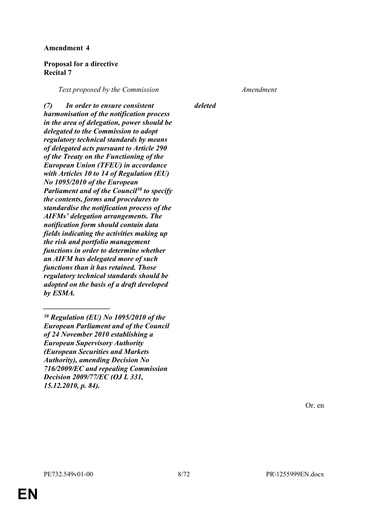#### **Proposal for a directive Recital 7**

*Text proposed by the Commission Amendment*

*deleted*

*(7) In order to ensure consistent harmonisation of the notification process in the area of delegation, power should be delegated to the Commission to adopt regulatory technical standards by means of delegated acts pursuant to Article 290 of the Treaty on the Functioning of the European Union (TFEU) in accordance with Articles 10 to 14 of Regulation (EU) No 1095/2010 of the European Parliament and of the Council<sup>30</sup> to specify the contents, forms and procedures to standardise the notification process of the AIFMs' delegation arrangements. The notification form should contain data fields indicating the activities making up the risk and portfolio management functions in order to determine whether an AIFM has delegated more of such functions than it has retained. Those regulatory technical standards should be adopted on the basis of a draft developed by ESMA.*

*\_\_\_\_\_\_\_\_\_\_\_\_\_\_\_\_\_\_*

**EN**

*<sup>30</sup> Regulation (EU) No 1095/2010 of the European Parliament and of the Council of 24 November 2010 establishing a European Supervisory Authority (European Securities and Markets Authority), amending Decision No 716/2009/EC and repealing Commission Decision 2009/77/EC (OJ L 331, 15.12.2010, p. 84).*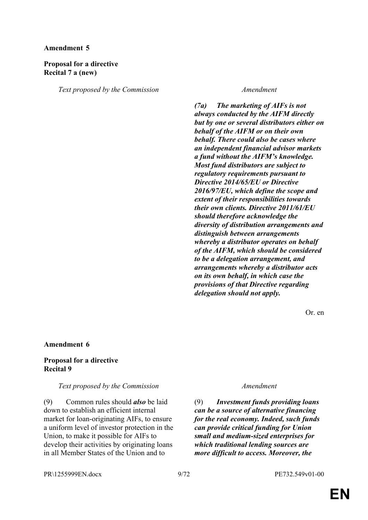# **Proposal for a directive Recital 7 a (new)**

*Text proposed by the Commission Amendment*

*(7a) The marketing of AIFs is not always conducted by the AIFM directly but by one or several distributors either on behalf of the AIFM or on their own behalf. There could also be cases where an independent financial advisor markets a fund without the AIFM's knowledge. Most fund distributors are subject to regulatory requirements pursuant to Directive 2014/65/EU or Directive 2016/97/EU, which define the scope and extent of their responsibilities towards their own clients. Directive 2011/61/EU should therefore acknowledge the diversity of distribution arrangements and distinguish between arrangements whereby a distributor operates on behalf of the AIFM, which should be considered to be a delegation arrangement, and arrangements whereby a distributor acts on its own behalf, in which case the provisions of that Directive regarding delegation should not apply.*

Or. en

#### **Amendment 6**

### **Proposal for a directive Recital 9**

### *Text proposed by the Commission Amendment*

(9) Common rules should *also* be laid down to establish an efficient internal market for loan-originating AIFs, to ensure a uniform level of investor protection in the Union, to make it possible for AIFs to develop their activities by originating loans in all Member States of the Union and to

(9) *Investment funds providing loans can be a source of alternative financing for the real economy. Indeed, such funds can provide critical funding for Union small and medium-sized enterprises for which traditional lending sources are more difficult to access. Moreover, the* 

PR\1255999EN.docx 9/72 PE732.549v01-00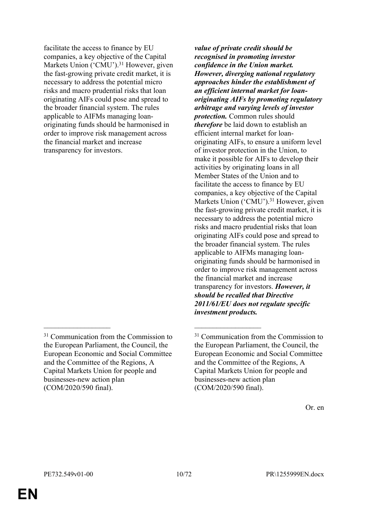facilitate the access to finance by EU companies, a key objective of the Capital Markets Union ('CMU').<sup>31</sup> However, given the fast-growing private credit market, it is necessary to address the potential micro risks and macro prudential risks that loan originating AIFs could pose and spread to the broader financial system. The rules applicable to AIFMs managing loanoriginating funds should be harmonised in order to improve risk management across the financial market and increase transparency for investors.

 $\mathcal{L}_\text{max}$  , and the contract of the contract of the contract of the contract of the contract of the contract of

*value of private credit should be recognised in promoting investor confidence in the Union market. However, diverging national regulatory approaches hinder the establishment of an efficient internal market for loanoriginating AIFs by promoting regulatory arbitrage and varying levels of investor protection.* Common rules should *therefore* be laid down to establish an efficient internal market for loanoriginating AIFs, to ensure a uniform level of investor protection in the Union, to make it possible for AIFs to develop their activities by originating loans in all Member States of the Union and to facilitate the access to finance by EU companies, a key objective of the Capital Markets Union ('CMU').<sup>31</sup> However, given the fast-growing private credit market, it is necessary to address the potential micro risks and macro prudential risks that loan originating AIFs could pose and spread to the broader financial system. The rules applicable to AIFMs managing loanoriginating funds should be harmonised in order to improve risk management across the financial market and increase transparency for investors. *However, it should be recalled that Directive 2011/61/EU does not regulate specific investment products.*

<sup>&</sup>lt;sup>31</sup> Communication from the Commission to the European Parliament, the Council, the European Economic and Social Committee and the Committee of the Regions, A Capital Markets Union for people and businesses-new action plan (COM/2020/590 final).

<sup>&</sup>lt;sup>31</sup> Communication from the Commission to the European Parliament, the Council, the European Economic and Social Committee and the Committee of the Regions, A Capital Markets Union for people and businesses-new action plan (COM/2020/590 final).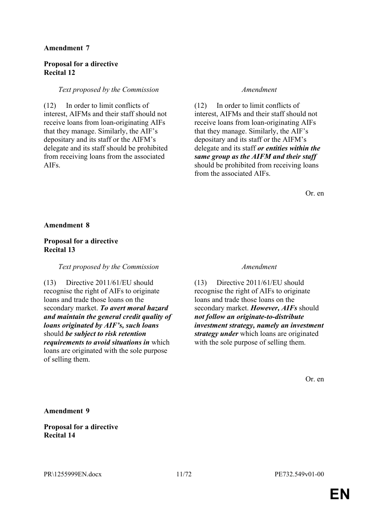### **Proposal for a directive Recital 12**

#### *Text proposed by the Commission Amendment*

(12) In order to limit conflicts of interest, AIFMs and their staff should not receive loans from loan-originating AIFs that they manage. Similarly, the AIF's depositary and its staff or the AIFM's delegate and its staff should be prohibited from receiving loans from the associated AIFs.

(12) In order to limit conflicts of interest, AIFMs and their staff should not receive loans from loan-originating AIFs that they manage. Similarly, the AIF's depositary and its staff or the AIFM's delegate and its staff *or entities within the same group as the AIFM and their staff* should be prohibited from receiving loans from the associated AIFs.

Or. en

#### **Amendment 8**

# **Proposal for a directive Recital 13**

#### *Text proposed by the Commission Amendment*

(13) Directive 2011/61/EU should recognise the right of AIFs to originate loans and trade those loans on the secondary market. *To avert moral hazard and maintain the general credit quality of loans originated by AIF's, such loans* should *be subject to risk retention requirements to avoid situations in* which loans are originated with the sole purpose of selling them.

(13) Directive 2011/61/EU should recognise the right of AIFs to originate loans and trade those loans on the secondary market. *However, AIFs* should *not follow an originate-to-distribute investment strategy, namely an investment strategy under* which loans are originated with the sole purpose of selling them.

Or. en

### **Amendment 9**

# **Proposal for a directive Recital 14**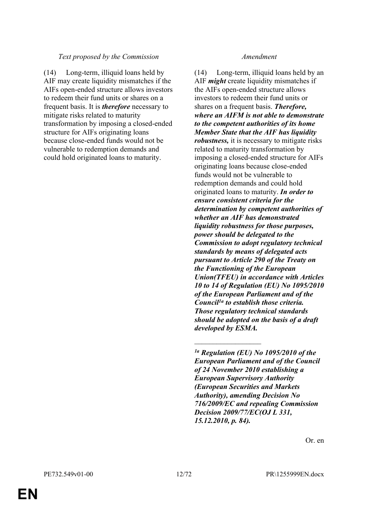# *Text proposed by the Commission Amendment*

(14) Long-term, illiquid loans held by AIF may create liquidity mismatches if the AIFs open-ended structure allows investors to redeem their fund units or shares on a frequent basis. It is *therefore* necessary to mitigate risks related to maturity transformation by imposing a closed-ended structure for AIFs originating loans because close-ended funds would not be vulnerable to redemption demands and could hold originated loans to maturity.

(14) Long-term, illiquid loans held by an AIF *might* create liquidity mismatches if the AIFs open-ended structure allows investors to redeem their fund units or shares on a frequent basis. *Therefore, where an AIFM is not able to demonstrate to the competent authorities of its home Member State that the AIF has liquidity robustness,* it is necessary to mitigate risks related to maturity transformation by imposing a closed-ended structure for AIFs originating loans because close-ended funds would not be vulnerable to redemption demands and could hold originated loans to maturity. *In order to ensure consistent criteria for the determination by competent authorities of whether an AIF has demonstrated liquidity robustness for those purposes, power should be delegated to the Commission to adopt regulatory technical standards by means of delegated acts pursuant to Article 290 of the Treaty on the Functioning of the European Union(TFEU) in accordance with Articles 10 to 14 of Regulation (EU) No 1095/2010 of the European Parliament and of the Council1a to establish those criteria. Those regulatory technical standards should be adopted on the basis of a draft developed by ESMA.*

 $\overline{\phantom{a}}$  , where  $\overline{\phantom{a}}$ 

*<sup>1</sup>a Regulation (EU) No 1095/2010 of the European Parliament and of the Council of 24 November 2010 establishing a European Supervisory Authority (European Securities and Markets Authority), amending Decision No 716/2009/EC and repealing Commission Decision 2009/77/EC(OJ L 331, 15.12.2010, p. 84).*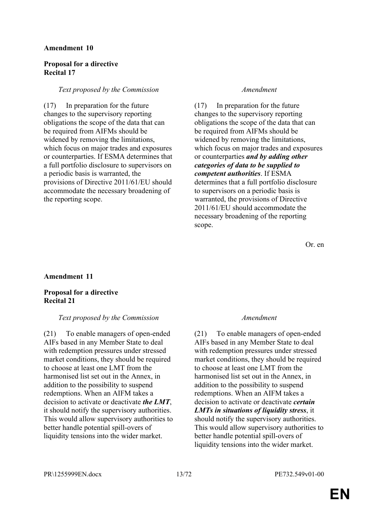### **Proposal for a directive Recital 17**

#### *Text proposed by the Commission Amendment*

(17) In preparation for the future changes to the supervisory reporting obligations the scope of the data that can be required from AIFMs should be widened by removing the limitations, which focus on major trades and exposures or counterparties. If ESMA determines that a full portfolio disclosure to supervisors on a periodic basis is warranted, the provisions of Directive 2011/61/EU should accommodate the necessary broadening of the reporting scope.

(17) In preparation for the future changes to the supervisory reporting obligations the scope of the data that can be required from AIFMs should be widened by removing the limitations, which focus on major trades and exposures or counterparties *and by adding other categories of data to be supplied to competent authorities*. If ESMA determines that a full portfolio disclosure to supervisors on a periodic basis is warranted, the provisions of Directive 2011/61/EU should accommodate the necessary broadening of the reporting scope.

Or. en

### **Amendment 11**

## **Proposal for a directive Recital 21**

#### *Text proposed by the Commission Amendment*

(21) To enable managers of open-ended AIFs based in any Member State to deal with redemption pressures under stressed market conditions, they should be required to choose at least one LMT from the harmonised list set out in the Annex, in addition to the possibility to suspend redemptions. When an AIFM takes a decision to activate or deactivate *the LMT*, it should notify the supervisory authorities. This would allow supervisory authorities to better handle potential spill-overs of liquidity tensions into the wider market.

(21) To enable managers of open-ended AIFs based in any Member State to deal with redemption pressures under stressed market conditions, they should be required to choose at least one LMT from the harmonised list set out in the Annex, in addition to the possibility to suspend redemptions. When an AIFM takes a decision to activate or deactivate *certain LMTs in situations of liquidity stress*, it should notify the supervisory authorities. This would allow supervisory authorities to better handle potential spill-overs of liquidity tensions into the wider market.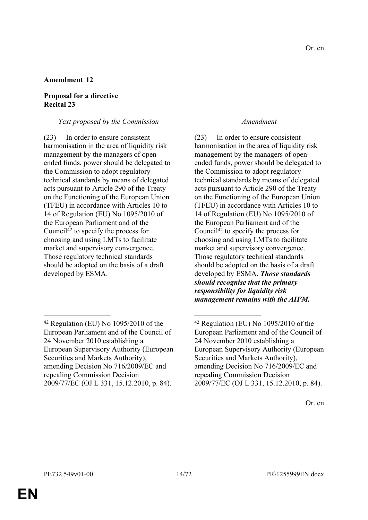# **Proposal for a directive Recital 23**

### *Text proposed by the Commission Amendment*

(23) In order to ensure consistent harmonisation in the area of liquidity risk management by the managers of openended funds, power should be delegated to the Commission to adopt regulatory technical standards by means of delegated acts pursuant to Article 290 of the Treaty on the Functioning of the European Union (TFEU) in accordance with Articles 10 to 14 of Regulation (EU) No 1095/2010 of the European Parliament and of the Council<sup>42</sup> to specify the process for choosing and using LMTs to facilitate market and supervisory convergence. Those regulatory technical standards should be adopted on the basis of a draft developed by ESMA.

 $\mathcal{L}_\text{max}$  , and the contract of the contract of the contract of the contract of the contract of the contract of

(23) In order to ensure consistent harmonisation in the area of liquidity risk management by the managers of openended funds, power should be delegated to the Commission to adopt regulatory technical standards by means of delegated acts pursuant to Article 290 of the Treaty on the Functioning of the European Union (TFEU) in accordance with Articles 10 to 14 of Regulation (EU) No 1095/2010 of the European Parliament and of the Council<sup>42</sup> to specify the process for choosing and using LMTs to facilitate market and supervisory convergence. Those regulatory technical standards should be adopted on the basis of a draft developed by ESMA. *Those standards should recognise that the primary responsibility for liquidity risk management remains with the AIFM.*

**EN**

<sup>42</sup> Regulation (EU) No 1095/2010 of the European Parliament and of the Council of 24 November 2010 establishing a European Supervisory Authority (European Securities and Markets Authority), amending Decision No 716/2009/EC and repealing Commission Decision 2009/77/EC (OJ L 331, 15.12.2010, p. 84).

 $42$  Regulation (EU) No 1095/2010 of the European Parliament and of the Council of 24 November 2010 establishing a European Supervisory Authority (European Securities and Markets Authority), amending Decision No 716/2009/EC and repealing Commission Decision 2009/77/EC (OJ L 331, 15.12.2010, p. 84).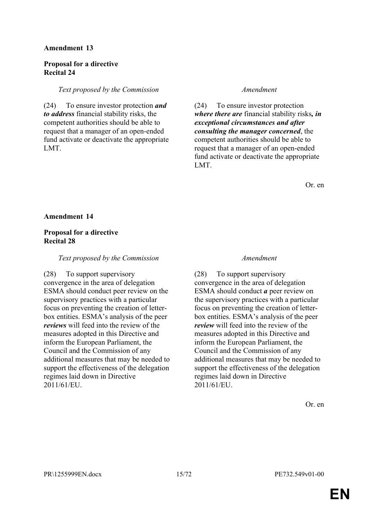# **Proposal for a directive Recital 24**

### *Text proposed by the Commission Amendment*

(24) To ensure investor protection *and to address* financial stability risks, the competent authorities should be able to request that a manager of an open-ended fund activate or deactivate the appropriate LMT.

(24) To ensure investor protection *where there are* financial stability risks*, in exceptional circumstances and after consulting the manager concerned*, the competent authorities should be able to request that a manager of an open-ended fund activate or deactivate the appropriate LMT.

Or. en

### **Amendment 14**

# **Proposal for a directive Recital 28**

### *Text proposed by the Commission Amendment*

(28) To support supervisory convergence in the area of delegation ESMA should conduct peer review on the supervisory practices with a particular focus on preventing the creation of letterbox entities. ESMA's analysis of the peer *reviews* will feed into the review of the measures adopted in this Directive and inform the European Parliament, the Council and the Commission of any additional measures that may be needed to support the effectiveness of the delegation regimes laid down in Directive 2011/61/EU.

(28) To support supervisory convergence in the area of delegation ESMA should conduct *a* peer review on the supervisory practices with a particular focus on preventing the creation of letterbox entities. ESMA's analysis of the peer *review* will feed into the review of the measures adopted in this Directive and inform the European Parliament, the Council and the Commission of any additional measures that may be needed to support the effectiveness of the delegation regimes laid down in Directive 2011/61/EU.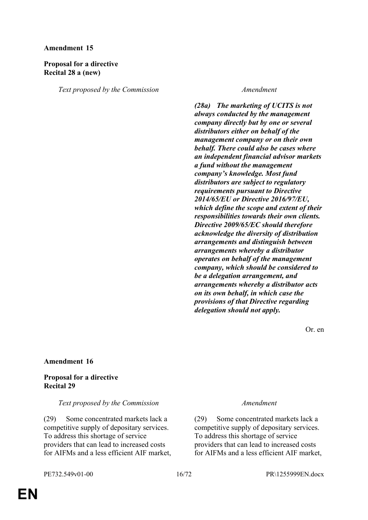# **Proposal for a directive Recital 28 a (new)**

*Text proposed by the Commission Amendment*

*(28a) The marketing of UCITS is not always conducted by the management company directly but by one or several distributors either on behalf of the management company or on their own behalf. There could also be cases where an independent financial advisor markets a fund without the management company's knowledge. Most fund distributors are subject to regulatory requirements pursuant to Directive 2014/65/EU or Directive 2016/97/EU, which define the scope and extent of their responsibilities towards their own clients. Directive 2009/65/EC should therefore acknowledge the diversity of distribution arrangements and distinguish between arrangements whereby a distributor operates on behalf of the management company, which should be considered to be a delegation arrangement, and arrangements whereby a distributor acts on its own behalf, in which case the provisions of that Directive regarding delegation should not apply.*

Or. en

### **Amendment 16**

# **Proposal for a directive Recital 29**

### *Text proposed by the Commission Amendment*

(29) Some concentrated markets lack a competitive supply of depositary services. To address this shortage of service providers that can lead to increased costs for AIFMs and a less efficient AIF market,

(29) Some concentrated markets lack a competitive supply of depositary services. To address this shortage of service providers that can lead to increased costs for AIFMs and a less efficient AIF market,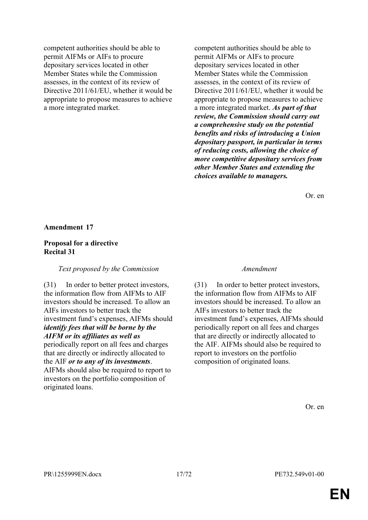competent authorities should be able to permit AIFMs or AIFs to procure depositary services located in other Member States while the Commission assesses, in the context of its review of Directive 2011/61/EU, whether it would be appropriate to propose measures to achieve a more integrated market.

competent authorities should be able to permit AIFMs or AIFs to procure depositary services located in other Member States while the Commission assesses, in the context of its review of Directive 2011/61/EU, whether it would be appropriate to propose measures to achieve a more integrated market. *As part of that review, the Commission should carry out a comprehensive study on the potential benefits and risks of introducing a Union depositary passport, in particular in terms of reducing costs, allowing the choice of more competitive depositary services from other Member States and extending the choices available to managers.*

Or. en

#### **Amendment 17**

#### **Proposal for a directive Recital 31**

#### *Text proposed by the Commission Amendment*

(31) In order to better protect investors, the information flow from AIFMs to AIF investors should be increased. To allow an AIFs investors to better track the investment fund's expenses, AIFMs should *identify fees that will be borne by the AIFM or its affiliates as well as* periodically report on all fees and charges that are directly or indirectly allocated to the AIF *or to any of its investments*. AIFMs should also be required to report to investors on the portfolio composition of originated loans.

(31) In order to better protect investors, the information flow from AIFMs to AIF investors should be increased. To allow an AIFs investors to better track the investment fund's expenses, AIFMs should periodically report on all fees and charges that are directly or indirectly allocated to the AIF. AIFMs should also be required to report to investors on the portfolio composition of originated loans.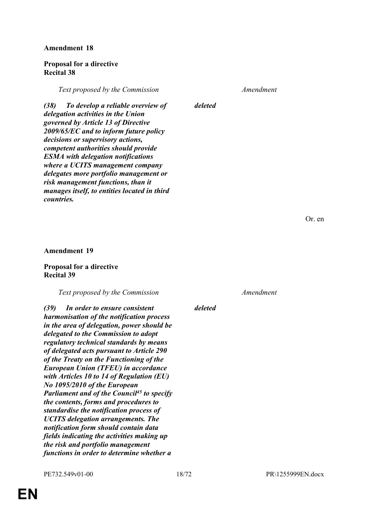### **Proposal for a directive Recital 38**

*Text proposed by the Commission Amendment*

*(38) To develop a reliable overview of delegation activities in the Union governed by Article 13 of Directive 2009/65/EC and to inform future policy decisions or supervisory actions, competent authorities should provide ESMA with delegation notifications where a UCITS management company delegates more portfolio management or risk management functions, than it manages itself, to entities located in third countries.*

*deleted*

Or. en

#### **Amendment 19**

### **Proposal for a directive Recital 39**

*Text proposed by the Commission Amendment*

*(39) In order to ensure consistent harmonisation of the notification process in the area of delegation, power should be delegated to the Commission to adopt regulatory technical standards by means of delegated acts pursuant to Article 290 of the Treaty on the Functioning of the European Union (TFEU) in accordance with Articles 10 to 14 of Regulation (EU) No 1095/2010 of the European Parliament and of the Council<sup>45</sup> to specify the contents, forms and procedures to standardise the notification process of UCITS delegation arrangements. The notification form should contain data fields indicating the activities making up the risk and portfolio management functions in order to determine whether a* 

*deleted*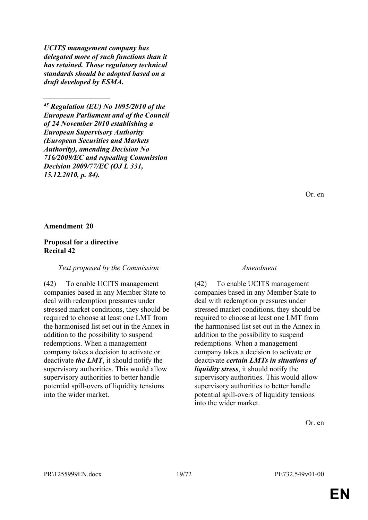*UCITS management company has delegated more of such functions than it has retained. Those regulatory technical standards should be adopted based on a draft developed by ESMA.*

*\_\_\_\_\_\_\_\_\_\_\_\_\_\_\_\_\_\_*

*<sup>45</sup> Regulation (EU) No 1095/2010 of the European Parliament and of the Council of 24 November 2010 establishing a European Supervisory Authority (European Securities and Markets Authority), amending Decision No 716/2009/EC and repealing Commission Decision 2009/77/EC (OJ L 331, 15.12.2010, p. 84).*

Or. en

### **Amendment 20**

### **Proposal for a directive Recital 42**

#### *Text proposed by the Commission Amendment*

(42) To enable UCITS management companies based in any Member State to deal with redemption pressures under stressed market conditions, they should be required to choose at least one LMT from the harmonised list set out in the Annex in addition to the possibility to suspend redemptions. When a management company takes a decision to activate or deactivate *the LMT*, it should notify the supervisory authorities. This would allow supervisory authorities to better handle potential spill-overs of liquidity tensions into the wider market.

(42) To enable UCITS management companies based in any Member State to deal with redemption pressures under stressed market conditions, they should be required to choose at least one LMT from the harmonised list set out in the Annex in addition to the possibility to suspend redemptions. When a management company takes a decision to activate or deactivate *certain LMTs in situations of liquidity stress*, it should notify the supervisory authorities. This would allow supervisory authorities to better handle potential spill-overs of liquidity tensions into the wider market.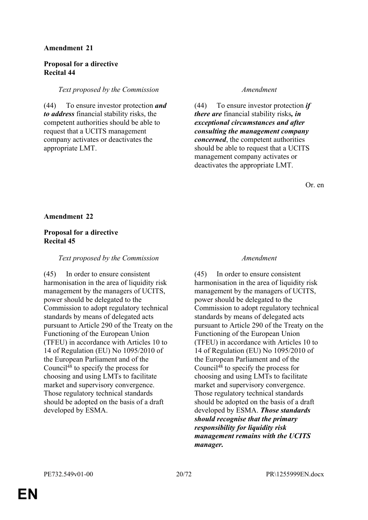# **Proposal for a directive Recital 44**

# *Text proposed by the Commission Amendment*

(44) To ensure investor protection *and to address* financial stability risks, the competent authorities should be able to request that a UCITS management company activates or deactivates the appropriate LMT.

(44) To ensure investor protection *if there are* financial stability risks*, in exceptional circumstances and after consulting the management company concerned*, the competent authorities should be able to request that a UCITS management company activates or deactivates the appropriate LMT.

Or. en

### **Amendment 22**

# **Proposal for a directive Recital 45**

# *Text proposed by the Commission Amendment*

(45) In order to ensure consistent harmonisation in the area of liquidity risk management by the managers of UCITS, power should be delegated to the Commission to adopt regulatory technical standards by means of delegated acts pursuant to Article 290 of the Treaty on the Functioning of the European Union (TFEU) in accordance with Articles 10 to 14 of Regulation (EU) No 1095/2010 of the European Parliament and of the Council<sup>48</sup> to specify the process for choosing and using LMTs to facilitate market and supervisory convergence. Those regulatory technical standards should be adopted on the basis of a draft developed by ESMA.

(45) In order to ensure consistent harmonisation in the area of liquidity risk management by the managers of UCITS, power should be delegated to the Commission to adopt regulatory technical standards by means of delegated acts pursuant to Article 290 of the Treaty on the Functioning of the European Union (TFEU) in accordance with Articles 10 to 14 of Regulation (EU) No 1095/2010 of the European Parliament and of the Council<sup>48</sup> to specify the process for choosing and using LMTs to facilitate market and supervisory convergence. Those regulatory technical standards should be adopted on the basis of a draft developed by ESMA. *Those standards should recognise that the primary responsibility for liquidity risk management remains with the UCITS manager.*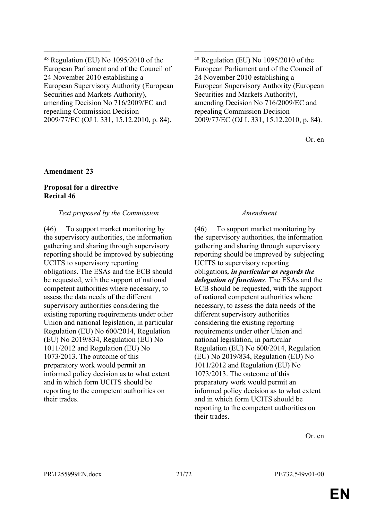<sup>48</sup> Regulation (EU) No 1095/2010 of the European Parliament and of the Council of 24 November 2010 establishing a European Supervisory Authority (European Securities and Markets Authority), amending Decision No 716/2009/EC and repealing Commission Decision 2009/77/EC (OJ L 331, 15.12.2010, p. 84).

 $\mathcal{L}_\text{max}$  , and the contract of the contract of the contract of the contract of the contract of the contract of

<sup>48</sup> Regulation (EU) No 1095/2010 of the European Parliament and of the Council of 24 November 2010 establishing a European Supervisory Authority (European Securities and Markets Authority), amending Decision No 716/2009/EC and repealing Commission Decision 2009/77/EC (OJ L 331, 15.12.2010, p. 84).

Or. en

### **Amendment 23**

# **Proposal for a directive Recital 46**

### *Text proposed by the Commission Amendment*

(46) To support market monitoring by the supervisory authorities, the information gathering and sharing through supervisory reporting should be improved by subjecting UCITS to supervisory reporting obligations. The ESAs and the ECB should be requested, with the support of national competent authorities where necessary, to assess the data needs of the different supervisory authorities considering the existing reporting requirements under other Union and national legislation, in particular Regulation (EU) No 600/2014, Regulation (EU) No 2019/834, Regulation (EU) No 1011/2012 and Regulation (EU) No 1073/2013. The outcome of this preparatory work would permit an informed policy decision as to what extent and in which form UCITS should be reporting to the competent authorities on their trades.

(46) To support market monitoring by the supervisory authorities, the information gathering and sharing through supervisory reporting should be improved by subjecting UCITS to supervisory reporting obligations*, in particular as regards the delegation of functions*. The ESAs and the ECB should be requested, with the support of national competent authorities where necessary, to assess the data needs of the different supervisory authorities considering the existing reporting requirements under other Union and national legislation, in particular Regulation (EU) No 600/2014, Regulation (EU) No 2019/834, Regulation (EU) No 1011/2012 and Regulation (EU) No 1073/2013. The outcome of this preparatory work would permit an informed policy decision as to what extent and in which form UCITS should be reporting to the competent authorities on their trades.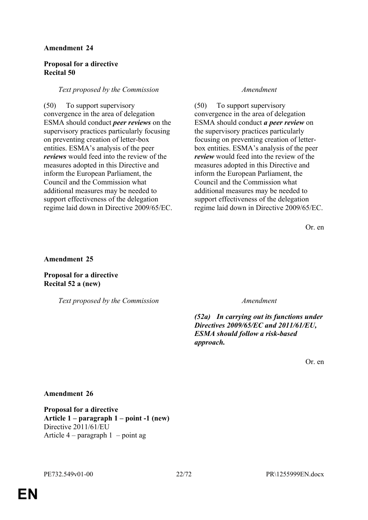# **Proposal for a directive Recital 50**

### *Text proposed by the Commission Amendment*

(50) To support supervisory convergence in the area of delegation ESMA should conduct *peer reviews* on the supervisory practices particularly focusing on preventing creation of letter-box entities. ESMA's analysis of the peer *reviews* would feed into the review of the measures adopted in this Directive and inform the European Parliament, the Council and the Commission what additional measures may be needed to support effectiveness of the delegation regime laid down in Directive 2009/65/EC.

(50) To support supervisory convergence in the area of delegation ESMA should conduct *a peer review* on the supervisory practices particularly focusing on preventing creation of letterbox entities. ESMA's analysis of the peer *review* would feed into the review of the measures adopted in this Directive and inform the European Parliament, the Council and the Commission what additional measures may be needed to support effectiveness of the delegation regime laid down in Directive 2009/65/EC.

Or. en

**Amendment 25**

**Proposal for a directive Recital 52 a (new)**

*Text proposed by the Commission Amendment*

*(52a) In carrying out its functions under Directives 2009/65/EC and 2011/61/EU, ESMA should follow a risk-based approach.*

Or. en

### **Amendment 26**

**Proposal for a directive Article 1 – paragraph 1 – point -1 (new)** Directive 2011/61/EU Article  $4$  – paragraph  $1$  – point ag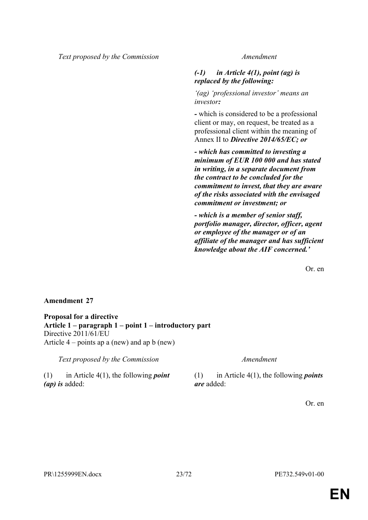*Text proposed by the Commission Amendment*

# *(-1) in Article 4(1), point (ag) is replaced by the following:*

*'(ag) 'professional investor' means an investor:*

*-* which is considered to be a professional client or may, on request, be treated as a professional client within the meaning of Annex II to *Directive 2014/65/EC; or*

*- which has committed to investing a minimum of EUR 100 000 and has stated in writing, in a separate document from the contract to be concluded for the commitment to invest, that they are aware of the risks associated with the envisaged commitment or investment; or*

*- which is a member of senior staff, portfolio manager, director, officer, agent or employee of the manager or of an affiliate of the manager and has sufficient knowledge about the AIF concerned.'*

Or. en

### **Amendment 27**

**Proposal for a directive Article 1 – paragraph 1 – point 1 – introductory part** Directive 2011/61/EU Article 4 – points ap a (new) and ap b (new)

*Text proposed by the Commission Amendment*

(1) in Article 4(1), the following *point (ap) is* added:

(1) in Article 4(1), the following *points are* added: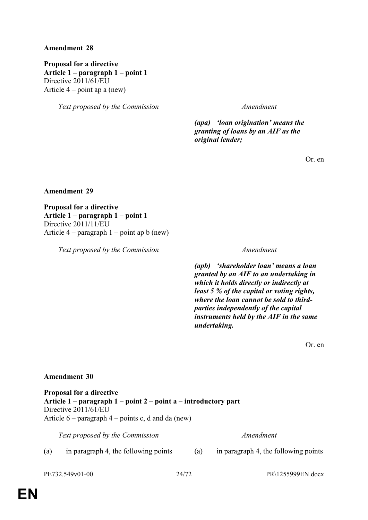**Proposal for a directive Article 1 – paragraph 1 – point 1** Directive 2011/61/EU Article  $4$  – point ap a (new)

*Text proposed by the Commission Amendment*

*(apa) 'loan origination' means the granting of loans by an AIF as the original lender;*

Or. en

**Amendment 29**

**Proposal for a directive Article 1 – paragraph 1 – point 1** Directive 2011/11/EU Article 4 – paragraph 1 – point ap b (new)

*Text proposed by the Commission Amendment*

*(apb) 'shareholder loan' means a loan granted by an AIF to an undertaking in which it holds directly or indirectly at least 5 % of the capital or voting rights, where the loan cannot be sold to thirdparties independently of the capital instruments held by the AIF in the same undertaking.*

Or. en

#### **Amendment 30**

**Proposal for a directive Article 1 – paragraph 1 – point 2 – point a – introductory part** Directive 2011/61/EU Article  $6$  – paragraph  $4$  – points c, d and da (new)

*Text proposed by the Commission Amendment*

(a) in paragraph 4, the following points (a) in paragraph 4, the following points

PE732.549v01-00 24/72 PR\1255999EN.docx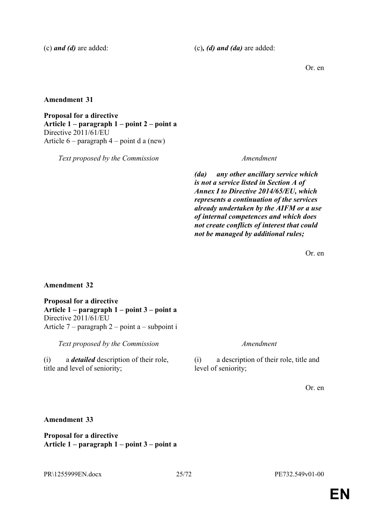(c) *and (d)* are added: (c)*, (d) and (da)* are added:

Or. en

**Amendment 31**

**Proposal for a directive Article 1 – paragraph 1 – point 2 – point a** Directive 2011/61/EU Article 6 – paragraph 4 – point d a (new)

*Text proposed by the Commission Amendment*

*(da) any other ancillary service which is not a service listed in Section A of Annex I to Directive 2014/65/EU, which represents a continuation of the services already undertaken by the AIFM or a use of internal competences and which does not create conflicts of interest that could not be managed by additional rules;*

Or. en

# **Amendment 32**

**Proposal for a directive Article 1 – paragraph 1 – point 3 – point a** Directive 2011/61/EU Article 7 – paragraph 2 – point a – subpoint i

*Text proposed by the Commission Amendment*

(i) a *detailed* description of their role, title and level of seniority;

(i) a description of their role, title and level of seniority;

Or. en

# **Amendment 33**

**Proposal for a directive Article 1 – paragraph 1 – point 3 – point a**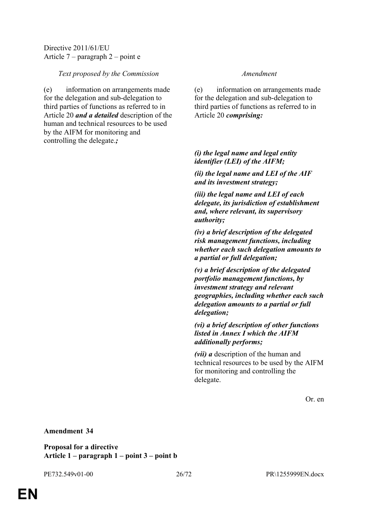Directive 2011/61/EU Article 7 – paragraph 2 – point e

### *Text proposed by the Commission Amendment*

(e) information on arrangements made for the delegation and sub-delegation to third parties of functions as referred to in Article 20 *and a detailed* description of the human and technical resources to be used by the AIFM for monitoring and controlling the delegate.*;*

(e) information on arrangements made for the delegation and sub-delegation to third parties of functions as referred to in Article 20 *comprising:*

# *(i) the legal name and legal entity identifier (LEI) of the AIFM;*

*(ii) the legal name and LEI of the AIF and its investment strategy;*

*(iii) the legal name and LEI of each delegate, its jurisdiction of establishment and, where relevant, its supervisory authority;*

*(iv) a brief description of the delegated risk management functions, including whether each such delegation amounts to a partial or full delegation;*

*(v) a brief description of the delegated portfolio management functions, by investment strategy and relevant geographies, including whether each such delegation amounts to a partial or full delegation;*

*(vi) a brief description of other functions listed in Annex I which the AIFM additionally performs;*

*(vii) a* description of the human and technical resources to be used by the AIFM for monitoring and controlling the delegate.

Or. en

### **Amendment 34**

**Proposal for a directive Article 1 – paragraph 1 – point 3 – point b**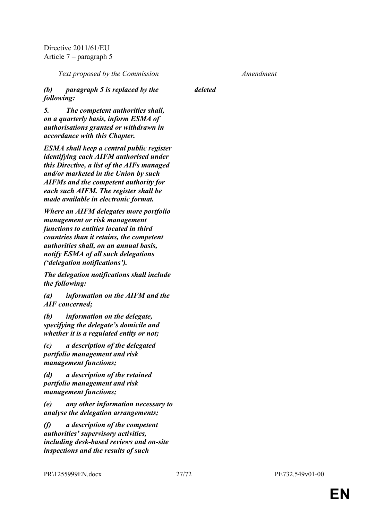Directive 2011/61/EU Article 7 – paragraph 5

*Text proposed by the Commission Amendment*

*(b) paragraph 5 is replaced by the following:*

*deleted*

*5. The competent authorities shall, on a quarterly basis, inform ESMA of authorisations granted or withdrawn in accordance with this Chapter.*

*ESMA shall keep a central public register identifying each AIFM authorised under this Directive, a list of the AIFs managed and/or marketed in the Union by such AIFMs and the competent authority for each such AIFM. The register shall be made available in electronic format.*

*Where an AIFM delegates more portfolio management or risk management functions to entities located in third countries than it retains, the competent authorities shall, on an annual basis, notify ESMA of all such delegations ('delegation notifications').*

*The delegation notifications shall include the following:*

*(a) information on the AIFM and the AIF concerned;*

*(b) information on the delegate, specifying the delegate's domicile and whether it is a regulated entity or not;*

*(c) a description of the delegated portfolio management and risk management functions;*

*(d) a description of the retained portfolio management and risk management functions;*

*(e) any other information necessary to analyse the delegation arrangements;*

*(f) a description of the competent authorities' supervisory activities, including desk-based reviews and on-site inspections and the results of such*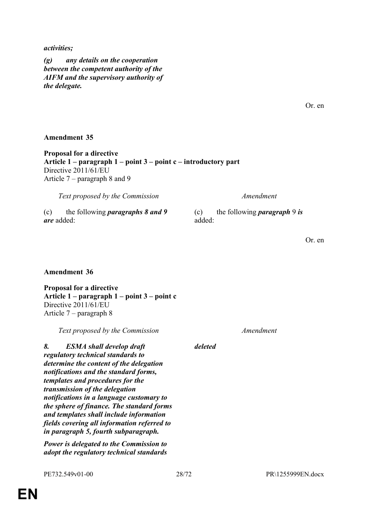#### *activities;*

*(g) any details on the cooperation between the competent authority of the AIFM and the supervisory authority of the delegate.*

#### **Amendment 35**

**Proposal for a directive Article 1 – paragraph 1 – point 3 – point c – introductory part** Directive 2011/61/EU Article 7 – paragraph 8 and 9

*Text proposed by the Commission Amendment*

(c) the following *paragraphs 8 and 9 are* added:

(c) the following *paragraph* 9 *is* added:

Or. en

### **Amendment 36**

**Proposal for a directive Article 1 – paragraph 1 – point 3 – point c** Directive 2011/61/EU Article 7 – paragraph 8

*Text proposed by the Commission Amendment*

*8. ESMA shall develop draft regulatory technical standards to determine the content of the delegation notifications and the standard forms, templates and procedures for the transmission of the delegation notifications in a language customary to the sphere of finance. The standard forms and templates shall include information fields covering all information referred to in paragraph 5, fourth subparagraph.*

*Power is delegated to the Commission to adopt the regulatory technical standards* 

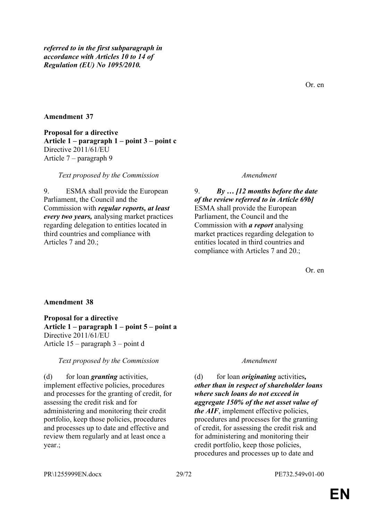*referred to in the first subparagraph in accordance with Articles 10 to 14 of Regulation (EU) No 1095/2010.*

### **Amendment 37**

**Proposal for a directive Article 1 – paragraph 1 – point 3 – point c** Directive 2011/61/EU Article 7 – paragraph 9

*Text proposed by the Commission Amendment*

9. ESMA shall provide the European Parliament, the Council and the Commission with *regular reports, at least every two years,* analysing market practices regarding delegation to entities located in third countries and compliance with Articles 7 and 20.;

9. *By … [12 months before the date of the review referred to in Article 69b]* ESMA shall provide the European Parliament, the Council and the Commission with *a report* analysing market practices regarding delegation to entities located in third countries and compliance with Articles 7 and 20.;

Or. en

#### **Amendment 38**

**Proposal for a directive Article 1 – paragraph 1 – point 5 – point a** Directive 2011/61/EU Article 15 – paragraph 3 – point d

*Text proposed by the Commission Amendment*

(d) for loan *granting* activities, implement effective policies, procedures and processes for the granting of credit, for assessing the credit risk and for administering and monitoring their credit portfolio, keep those policies, procedures and processes up to date and effective and review them regularly and at least once a year.;

(d) for loan *originating* activities*, other than in respect of shareholder loans where such loans do not exceed in aggregate 150% of the net asset value of the AIF*, implement effective policies, procedures and processes for the granting of credit, for assessing the credit risk and for administering and monitoring their credit portfolio, keep those policies, procedures and processes up to date and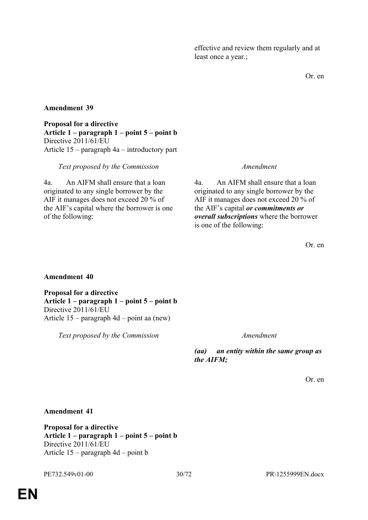effective and review them regularly and at least once a year.;

Or. en

# **Amendment 39**

**Proposal for a directive Article 1 – paragraph 1 – point 5 – point b** Directive 2011/61/EU Article 15 – paragraph 4a – introductory part

### *Text proposed by the Commission Amendment*

4a. An AIFM shall ensure that a loan originated to any single borrower by the AIF it manages does not exceed 20 % of the AIF's capital where the borrower is one of the following:

4a. An AIFM shall ensure that a loan originated to any single borrower by the AIF it manages does not exceed 20 % of the AIF's capital *or commitments or overall subscriptions* where the borrower is one of the following:

Or. en

### **Amendment 40**

**Proposal for a directive Article 1 – paragraph 1 – point 5 – point b** Directive 2011/61/EU Article 15 – paragraph 4d – point aa (new)

*Text proposed by the Commission Amendment*

*(aa) an entity within the same group as the AIFM;*

Or. en

**Amendment 41**

**Proposal for a directive Article 1 – paragraph 1 – point 5 – point b** Directive 2011/61/EU Article 15 – paragraph 4d – point b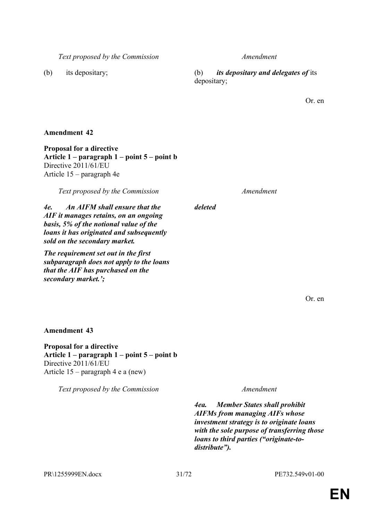PR\1255999EN.docx 31/72 PE732.549v01-00

*Text proposed by the Commission Amendment*

(b) its depositary; (b) *its depositary and delegates of* its depositary;

Or. en

**Amendment 42**

**Proposal for a directive Article 1 – paragraph 1 – point 5 – point b** Directive 2011/61/EU Article 15 – paragraph 4e

*Text proposed by the Commission Amendment*

*4e. An AIFM shall ensure that the AIF it manages retains, on an ongoing basis, 5% of the notional value of the loans it has originated and subsequently sold on the secondary market.*

*The requirement set out in the first subparagraph does not apply to the loans that the AIF has purchased on the secondary market.';*

Or. en

**Amendment 43**

**Proposal for a directive Article 1 – paragraph 1 – point 5 – point b** Directive 2011/61/EU Article 15 – paragraph 4 e a (new)

*Text proposed by the Commission Amendment*

*4ea. Member States shall prohibit AIFMs from managing AIFs whose investment strategy is to originate loans with the sole purpose of transferring those loans to third parties ("originate-todistribute").*

# *deleted*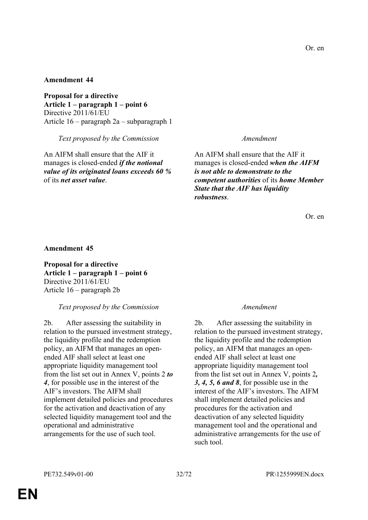**Proposal for a directive Article 1 – paragraph 1 – point 6** Directive 2011/61/EU Article 16 – paragraph 2a – subparagraph 1

*Text proposed by the Commission Amendment*

An AIFM shall ensure that the AIF it manages is closed-ended *if the notional value of its originated loans exceeds 60 %* of its *net asset value*.

An AIFM shall ensure that the AIF it manages is closed-ended *when the AIFM is not able to demonstrate to the competent authorities* of its *home Member State that the AIF has liquidity robustness*.

Or. en

**Amendment 45**

**Proposal for a directive Article 1 – paragraph 1 – point 6** Directive 2011/61/EU Article 16 – paragraph 2b

*Text proposed by the Commission Amendment*

2b. After assessing the suitability in relation to the pursued investment strategy, the liquidity profile and the redemption policy, an AIFM that manages an openended AIF shall select at least one appropriate liquidity management tool from the list set out in Annex V, points 2 *to 4*, for possible use in the interest of the AIF's investors. The AIFM shall implement detailed policies and procedures for the activation and deactivation of any selected liquidity management tool and the operational and administrative arrangements for the use of such tool.

2b. After assessing the suitability in relation to the pursued investment strategy, the liquidity profile and the redemption policy, an AIFM that manages an openended AIF shall select at least one appropriate liquidity management tool from the list set out in Annex V, points 2*, 3, 4, 5, 6 and 8*, for possible use in the interest of the AIF's investors. The AIFM shall implement detailed policies and procedures for the activation and deactivation of any selected liquidity management tool and the operational and administrative arrangements for the use of such tool.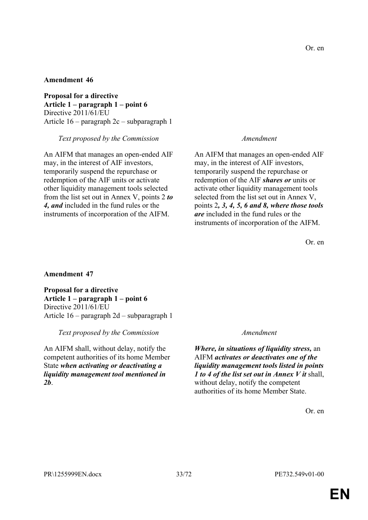**Proposal for a directive Article 1 – paragraph 1 – point 6** Directive 2011/61/EU Article 16 – paragraph 2c – subparagraph 1

*Text proposed by the Commission Amendment*

An AIFM that manages an open-ended AIF may, in the interest of AIF investors, temporarily suspend the repurchase or redemption of the AIF units or activate other liquidity management tools selected from the list set out in Annex V, points 2 *to 4, and* included in the fund rules or the instruments of incorporation of the AIFM.

An AIFM that manages an open-ended AIF may, in the interest of AIF investors, temporarily suspend the repurchase or redemption of the AIF *shares or* units or activate other liquidity management tools selected from the list set out in Annex V, points 2*, 3, 4, 5, 6 and 8, where those tools are* included in the fund rules or the instruments of incorporation of the AIFM.

Or. en

### **Amendment 47**

**Proposal for a directive Article 1 – paragraph 1 – point 6** Directive 2011/61/EU Article 16 – paragraph 2d – subparagraph 1

*Text proposed by the Commission Amendment*

An AIFM shall, without delay, notify the competent authorities of its home Member State *when activating or deactivating a liquidity management tool mentioned in 2b*.

*Where, in situations of liquidity stress,* an AIFM *activates or deactivates one of the liquidity management tools listed in points 1 to 4 of the list set out in Annex V it* shall, without delay, notify the competent authorities of its home Member State.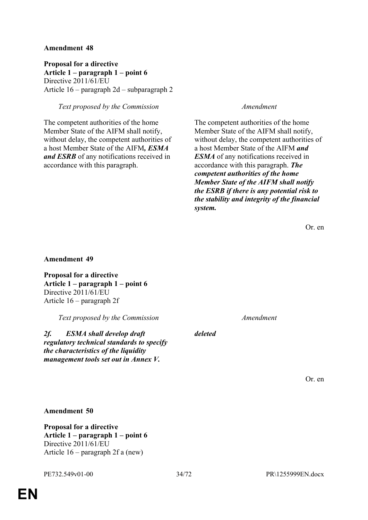**Proposal for a directive Article 1 – paragraph 1 – point 6** Directive 2011/61/EU Article 16 – paragraph 2d – subparagraph 2

### *Text proposed by the Commission Amendment*

The competent authorities of the home Member State of the AIFM shall notify, without delay, the competent authorities of a host Member State of the AIFM*, ESMA and ESRB* of any notifications received in accordance with this paragraph.

The competent authorities of the home Member State of the AIFM shall notify, without delay, the competent authorities of a host Member State of the AIFM *and ESMA* of any notifications received in accordance with this paragraph. *The competent authorities of the home Member State of the AIFM shall notify the ESRB if there is any potential risk to the stability and integrity of the financial system.*

Or. en

#### **Amendment 49**

**Proposal for a directive Article 1 – paragraph 1 – point 6** Directive 2011/61/EU Article 16 – paragraph 2f

*Text proposed by the Commission Amendment*

*2f. ESMA shall develop draft regulatory technical standards to specify the characteristics of the liquidity management tools set out in Annex V.*

*deleted*

Or. en

**Amendment 50**

**Proposal for a directive Article 1 – paragraph 1 – point 6** Directive 2011/61/EU Article 16 – paragraph 2f a (new)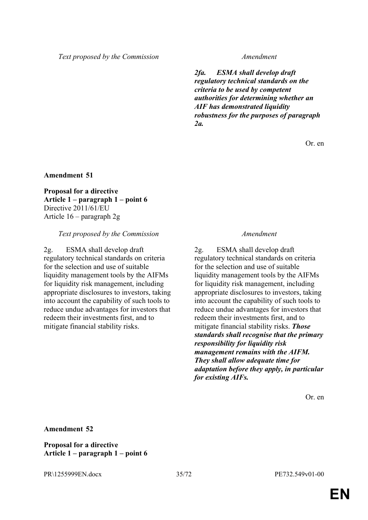*Text proposed by the Commission Amendment*

*2fa. ESMA shall develop draft regulatory technical standards on the criteria to be used by competent authorities for determining whether an AIF has demonstrated liquidity robustness for the purposes of paragraph 2a.*

Or. en

**Amendment 51**

**Proposal for a directive Article 1 – paragraph 1 – point 6** Directive 2011/61/EU Article 16 – paragraph 2g

#### *Text proposed by the Commission Amendment*

2g. ESMA shall develop draft regulatory technical standards on criteria for the selection and use of suitable liquidity management tools by the AIFMs for liquidity risk management, including appropriate disclosures to investors, taking into account the capability of such tools to reduce undue advantages for investors that redeem their investments first, and to mitigate financial stability risks.

2g. ESMA shall develop draft regulatory technical standards on criteria for the selection and use of suitable liquidity management tools by the AIFMs for liquidity risk management, including appropriate disclosures to investors, taking into account the capability of such tools to reduce undue advantages for investors that redeem their investments first, and to mitigate financial stability risks. *Those standards shall recognise that the primary responsibility for liquidity risk management remains with the AIFM. They shall allow adequate time for adaptation before they apply, in particular for existing AIFs.*

Or. en

**Amendment 52**

**Proposal for a directive Article 1 – paragraph 1 – point 6**

PR\1255999EN.docx 35/72 PE732.549v01-00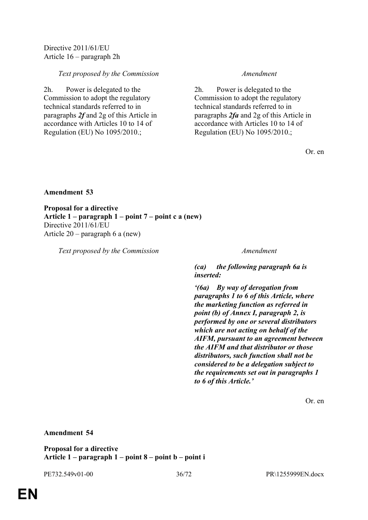Directive 2011/61/EU Article 16 – paragraph 2h

### *Text proposed by the Commission Amendment*

2h. Power is delegated to the Commission to adopt the regulatory technical standards referred to in paragraphs *2f* and 2g of this Article in accordance with Articles 10 to 14 of Regulation (EU) No 1095/2010.;

2h. Power is delegated to the Commission to adopt the regulatory technical standards referred to in paragraphs *2fa* and 2g of this Article in accordance with Articles 10 to 14 of Regulation (EU) No 1095/2010.;

Or. en

#### **Amendment 53**

**Proposal for a directive Article 1 – paragraph 1 – point 7 – point c a (new)** Directive 2011/61/EU Article 20 – paragraph 6 a (new)

*Text proposed by the Commission Amendment*

*(ca) the following paragraph 6a is inserted:*

*'(6a) By way of derogation from paragraphs 1 to 6 of this Article, where the marketing function as referred in point (b) of Annex I, paragraph 2, is performed by one or several distributors which are not acting on behalf of the AIFM, pursuant to an agreement between the AIFM and that distributor or those distributors, such function shall not be considered to be a delegation subject to the requirements set out in paragraphs 1 to 6 of this Article.'*

Or. en

**Amendment 54**

**Proposal for a directive Article 1 – paragraph 1 – point 8 – point b – point i**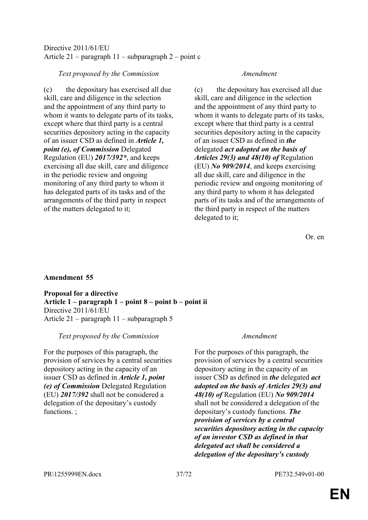## Directive 2011/61/EU Article 21 – paragraph 11 – subparagraph 2 – point c

## *Text proposed by the Commission Amendment*

(c) the depositary has exercised all due skill, care and diligence in the selection and the appointment of any third party to whom it wants to delegate parts of its tasks, except where that third party is a central securities depository acting in the capacity of an issuer CSD as defined in *Article 1, point (e), of Commission* Delegated Regulation (EU) *2017/392\**, and keeps exercising all due skill, care and diligence in the periodic review and ongoing monitoring of any third party to whom it has delegated parts of its tasks and of the arrangements of the third party in respect of the matters delegated to it;

(c) the depositary has exercised all due skill, care and diligence in the selection and the appointment of any third party to whom it wants to delegate parts of its tasks, except where that third party is a central securities depository acting in the capacity of an issuer CSD as defined in *the* delegated *act adopted on the basis of Articles 29(3) and 48(10) of* Regulation (EU) *No 909/2014*, and keeps exercising all due skill, care and diligence in the periodic review and ongoing monitoring of any third party to whom it has delegated parts of its tasks and of the arrangements of the third party in respect of the matters delegated to it;

Or. en

## **Amendment 55**

**Proposal for a directive Article 1 – paragraph 1 – point 8 – point b – point ii** Directive 2011/61/EU Article 21 – paragraph 11 – subparagraph 5

## *Text proposed by the Commission Amendment*

For the purposes of this paragraph, the provision of services by a central securities depository acting in the capacity of an issuer CSD as defined in *Article 1, point (e) of Commission* Delegated Regulation (EU) *2017/392* shall not be considered a delegation of the depositary's custody functions. ;

For the purposes of this paragraph, the provision of services by a central securities depository acting in the capacity of an issuer CSD as defined in *the* delegated *act adopted on the basis of Articles 29(3) and 48(10) of* Regulation (EU) *No 909/2014* shall not be considered a delegation of the depositary's custody functions. *The provision of services by a central securities depository acting in the capacity of an investor CSD as defined in that delegated act shall be considered a delegation of the depositary's custody*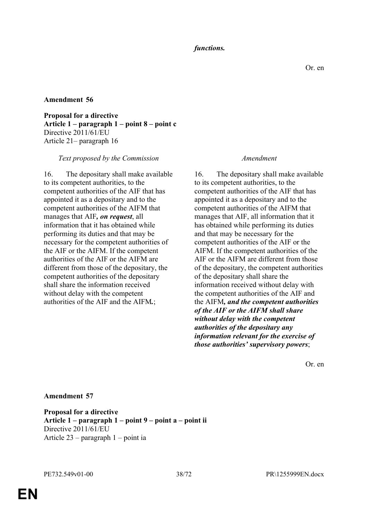## *functions.*

### **Amendment 56**

**Proposal for a directive Article 1 – paragraph 1 – point 8 – point c** Directive 2011/61/EU Article 21– paragraph 16

### *Text proposed by the Commission Amendment*

16. The depositary shall make available to its competent authorities, to the competent authorities of the AIF that has appointed it as a depositary and to the competent authorities of the AIFM that manages that AIF*, on request*, all information that it has obtained while performing its duties and that may be necessary for the competent authorities of the AIF or the AIFM. If the competent authorities of the AIF or the AIFM are different from those of the depositary, the competent authorities of the depositary shall share the information received without delay with the competent authorities of the AIF and the AIFM*.*;

16. The depositary shall make available to its competent authorities, to the competent authorities of the AIF that has appointed it as a depositary and to the competent authorities of the AIFM that manages that AIF, all information that it has obtained while performing its duties and that may be necessary for the competent authorities of the AIF or the AIFM. If the competent authorities of the AIF or the AIFM are different from those of the depositary, the competent authorities of the depositary shall share the information received without delay with the competent authorities of the AIF and the AIFM*, and the competent authorities of the AIF or the AIFM shall share without delay with the competent authorities of the depositary any information relevant for the exercise of those authorities' supervisory powers*;

Or. en

#### **Amendment 57**

**Proposal for a directive Article 1 – paragraph 1 – point 9 – point a – point ii** Directive 2011/61/EU Article 23 – paragraph 1 – point ia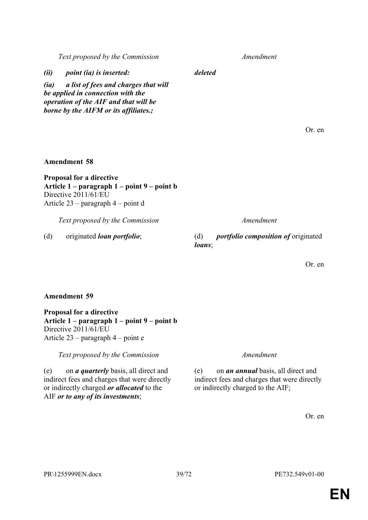**EN**

| Or. en |  |
|--------|--|
|        |  |

(e) on *an annual* basis, all direct and indirect fees and charges that were directly

or indirectly charged to the AIF;

**Proposal for a directive Article 1 – paragraph 1 – point 9 – point b** Directive 2011/61/EU

*Text proposed by the Commission Amendment* (e) on *a quarterly* basis, all direct and indirect fees and charges that were directly or indirectly charged *or allocated* to the

Article 23 – paragraph 4 – point e

AIF *or to any of its investments*;

**Amendment 59**

*Text proposed by the Commission Amendment*

**Article 1 – paragraph 1 – point 9 – point b**

**Amendment 58**

**Proposal for a directive**

Directive 2011/61/EU

Article 23 – paragraph 4 – point d

(d) originated *loan portfolio*; (d) *portfolio composition of* originated *loans*;

*(ii) point (ia) is inserted: deleted*

*(ia) a list of fees and charges that will be applied in connection with the operation of the AIF and that will be borne by the AIFM or its affiliates.;*

*Text proposed by the Commission Amendment*

Or. en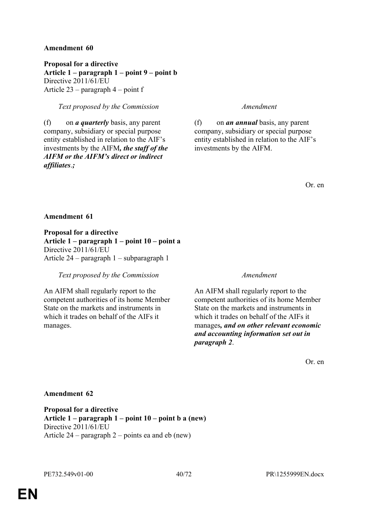**Proposal for a directive Article 1 – paragraph 1 – point 9 – point b** Directive 2011/61/EU Article 23 – paragraph 4 – point f

## *Text proposed by the Commission Amendment*

(f) on *a quarterly* basis, any parent company, subsidiary or special purpose entity established in relation to the AIF's investments by the AIFM*, the staff of the AIFM or the AIFM's direct or indirect affiliates*.*;*

(f) on *an annual* basis, any parent company, subsidiary or special purpose entity established in relation to the AIF's investments by the AIFM.

Or. en

### **Amendment 61**

**Proposal for a directive Article 1 – paragraph 1 – point 10 – point a** Directive 2011/61/EU Article 24 – paragraph 1 – subparagraph 1

*Text proposed by the Commission Amendment*

An AIFM shall regularly report to the competent authorities of its home Member State on the markets and instruments in which it trades on behalf of the AIFs it manages.

An AIFM shall regularly report to the competent authorities of its home Member State on the markets and instruments in which it trades on behalf of the AIFs it manages*, and on other relevant economic and accounting information set out in paragraph 2*.

Or. en

### **Amendment 62**

**Proposal for a directive Article 1 – paragraph 1 – point 10 – point b a (new)** Directive 2011/61/EU Article 24 – paragraph 2 – points ea and eb (new)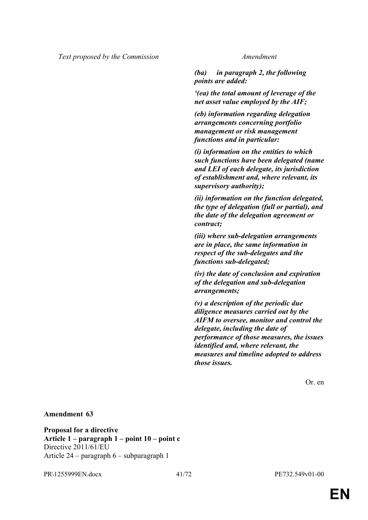*(ba) in paragraph 2, the following points are added:*

*'(ea) the total amount of leverage of the net asset value employed by the AIF;*

*(eb) information regarding delegation arrangements concerning portfolio management or risk management functions and in particular:*

*(i) information on the entities to which such functions have been delegated (name and LEI of each delegate, its jurisdiction of establishment and, where relevant, its supervisory authority);*

*(ii) information on the function delegated, the type of delegation (full or partial), and the date of the delegation agreement or contract;*

*(iii) where sub-delegation arrangements are in place, the same information in respect of the sub-delegates and the functions sub-delegated;*

*(iv) the date of conclusion and expiration of the delegation and sub-delegation arrangements;*

*(v) a description of the periodic due diligence measures carried out by the AIFM to oversee, monitor and control the delegate, including the date of performance of those measures, the issues identified and, where relevant, the measures and timeline adopted to address those issues.*

Or. en

#### **Amendment 63**

**Proposal for a directive Article 1 – paragraph 1 – point 10 – point c** Directive 2011/61/EU Article 24 – paragraph 6 – subparagraph 1

PR\1255999EN.docx 41/72 PE732.549v01-00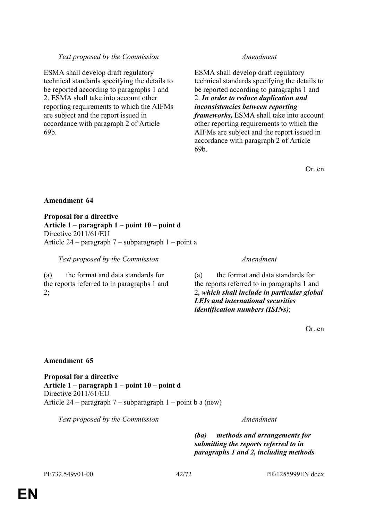## *Text proposed by the Commission Amendment*

ESMA shall develop draft regulatory technical standards specifying the details to be reported according to paragraphs 1 and 2. ESMA shall take into account other reporting requirements to which the AIFMs are subject and the report issued in accordance with paragraph 2 of Article 69b.

ESMA shall develop draft regulatory technical standards specifying the details to be reported according to paragraphs 1 and 2. *In order to reduce duplication and inconsistencies between reporting frameworks,* ESMA shall take into account other reporting requirements to which the AIFMs are subject and the report issued in accordance with paragraph 2 of Article 69b.

Or. en

### **Amendment 64**

**Proposal for a directive Article 1 – paragraph 1 – point 10 – point d** Directive 2011/61/EU Article 24 – paragraph 7 – subparagraph 1 – point a

*Text proposed by the Commission Amendment*

(a) the format and data standards for the reports referred to in paragraphs 1 and  $2$ ;

(a) the format and data standards for the reports referred to in paragraphs 1 and 2*, which shall include in particular global LEIs and international securities identification numbers (ISINs)*;

Or. en

### **Amendment 65**

**Proposal for a directive Article 1 – paragraph 1 – point 10 – point d** Directive 2011/61/EU Article 24 – paragraph 7 – subparagraph 1 – point b a (new)

*Text proposed by the Commission Amendment*

*(ba) methods and arrangements for submitting the reports referred to in paragraphs 1 and 2, including methods*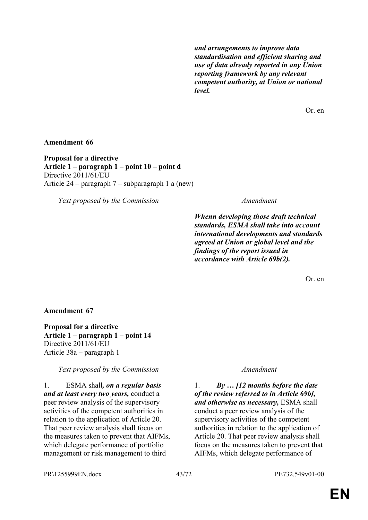*and arrangements to improve data standardisation and efficient sharing and use of data already reported in any Union reporting framework by any relevant competent authority, at Union or national level.*

Or. en

### **Amendment 66**

**Proposal for a directive Article 1 – paragraph 1 – point 10 – point d** Directive 2011/61/EU Article 24 – paragraph 7 – subparagraph 1 a (new)

*Text proposed by the Commission Amendment*

*Whenn developing those draft technical standards, ESMA shall take into account international developments and standards agreed at Union or global level and the findings of the report issued in accordance with Article 69b(2).*

Or. en

#### **Amendment 67**

**Proposal for a directive Article 1 – paragraph 1 – point 14** Directive 2011/61/EU Article 38a – paragraph 1

*Text proposed by the Commission Amendment*

1. ESMA shall*, on a regular basis and at least every two years,* conduct a peer review analysis of the supervisory activities of the competent authorities in relation to the application of Article 20. That peer review analysis shall focus on the measures taken to prevent that AIFMs, which delegate performance of portfolio management or risk management to third

1. *By … [12 months before the date of the review referred to in Article 69b], and otherwise as necessary,* ESMA shall conduct a peer review analysis of the supervisory activities of the competent authorities in relation to the application of Article 20. That peer review analysis shall focus on the measures taken to prevent that AIFMs, which delegate performance of

PR\1255999EN.docx 43/72 PE732.549v01-00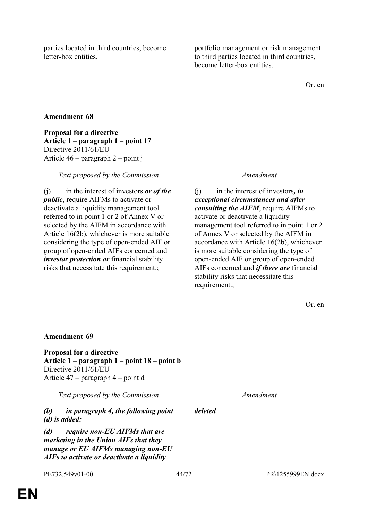parties located in third countries, become letter-box entities.

portfolio management or risk management to third parties located in third countries, become letter-box entities.

Or. en

## **Amendment 68**

**Proposal for a directive Article 1 – paragraph 1 – point 17** Directive 2011/61/EU Article 46 – paragraph 2 – point j

*Text proposed by the Commission Amendment*

(j) in the interest of investors *or of the public*, require AIFMs to activate or deactivate a liquidity management tool referred to in point 1 or 2 of Annex V or selected by the AIFM in accordance with Article 16(2b), whichever is more suitable considering the type of open-ended AIF or group of open-ended AIFs concerned and *investor protection or* financial stability risks that necessitate this requirement.;

(j) in the interest of investors*, in exceptional circumstances and after consulting the AIFM*, require AIFMs to activate or deactivate a liquidity management tool referred to in point 1 or 2 of Annex V or selected by the AIFM in accordance with Article 16(2b), whichever is more suitable considering the type of open-ended AIF or group of open-ended AIFs concerned and *if there are* financial stability risks that necessitate this requirement.;

Or. en

# **Amendment 69 Proposal for a directive Article 1 – paragraph 1 – point 18 – point b** Directive 2011/61/EU Article 47 – paragraph 4 – point d *Text proposed by the Commission Amendment (b) in paragraph 4, the following point (d) is added: deleted (d) require non-EU AIFMs that are marketing in the Union AIFs that they manage or EU AIFMs managing non-EU AIFs to activate or deactivate a liquidity*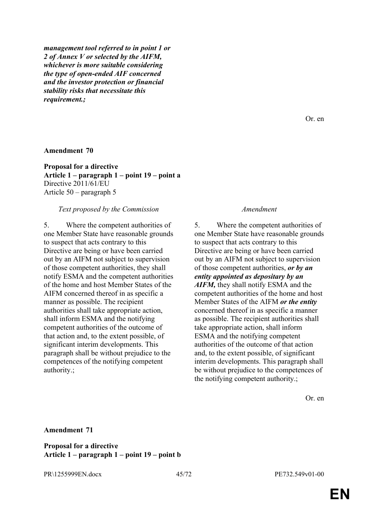*management tool referred to in point 1 or 2 of Annex V or selected by the AIFM, whichever is more suitable considering the type of open-ended AIF concerned and the investor protection or financial stability risks that necessitate this requirement.;*

#### **Amendment 70**

**Proposal for a directive Article 1 – paragraph 1 – point 19 – point a** Directive 2011/61/EU Article 50 – paragraph 5

#### *Text proposed by the Commission Amendment*

5. Where the competent authorities of one Member State have reasonable grounds to suspect that acts contrary to this Directive are being or have been carried out by an AIFM not subject to supervision of those competent authorities, they shall notify ESMA and the competent authorities of the home and host Member States of the AIFM concerned thereof in as specific a manner as possible. The recipient authorities shall take appropriate action, shall inform ESMA and the notifying competent authorities of the outcome of that action and, to the extent possible, of significant interim developments. This paragraph shall be without prejudice to the competences of the notifying competent authority.;

5. Where the competent authorities of one Member State have reasonable grounds to suspect that acts contrary to this Directive are being or have been carried out by an AIFM not subject to supervision of those competent authorities, *or by an entity appointed as depositary by an AIFM,* they shall notify ESMA and the competent authorities of the home and host Member States of the AIFM *or the entity* concerned thereof in as specific a manner as possible. The recipient authorities shall take appropriate action, shall inform ESMA and the notifying competent authorities of the outcome of that action and, to the extent possible, of significant interim developments. This paragraph shall be without prejudice to the competences of the notifying competent authority.;

Or. en

#### **Amendment 71**

**Proposal for a directive Article 1 – paragraph 1 – point 19 – point b**

PR\1255999EN.docx 45/72 PE732.549v01-00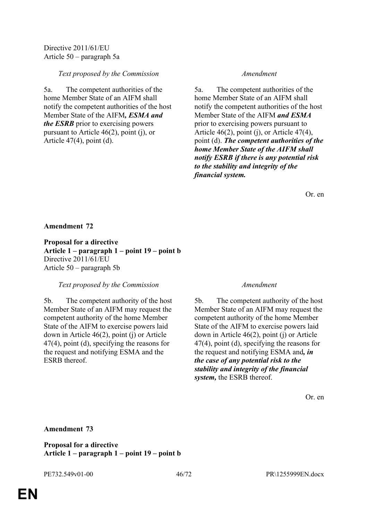## *Text proposed by the Commission Amendment*

5a. The competent authorities of the home Member State of an AIFM shall notify the competent authorities of the host Member State of the AIFM*, ESMA and the ESRB* prior to exercising powers pursuant to Article 46(2), point (j), or Article 47(4), point (d).

5a. The competent authorities of the home Member State of an AIFM shall notify the competent authorities of the host Member State of the AIFM *and ESMA* prior to exercising powers pursuant to Article 46(2), point (j), or Article 47(4), point (d). *The competent authorities of the home Member State of the AIFM shall notify ESRB if there is any potential risk to the stability and integrity of the financial system.*

Or. en

## **Amendment 72**

**Proposal for a directive Article 1 – paragraph 1 – point 19 – point b** Directive 2011/61/EU Article 50 – paragraph 5b

### *Text proposed by the Commission Amendment*

5b. The competent authority of the host Member State of an AIFM may request the competent authority of the home Member State of the AIFM to exercise powers laid down in Article 46(2), point (j) or Article 47(4), point (d), specifying the reasons for the request and notifying ESMA and the ESRB thereof.

5b. The competent authority of the host Member State of an AIFM may request the competent authority of the home Member State of the AIFM to exercise powers laid down in Article 46(2), point (j) or Article 47(4), point (d), specifying the reasons for the request and notifying ESMA and*, in the case of any potential risk to the stability and integrity of the financial system,* the ESRB thereof.

Or. en

## **Amendment 73**

**Proposal for a directive Article 1 – paragraph 1 – point 19 – point b**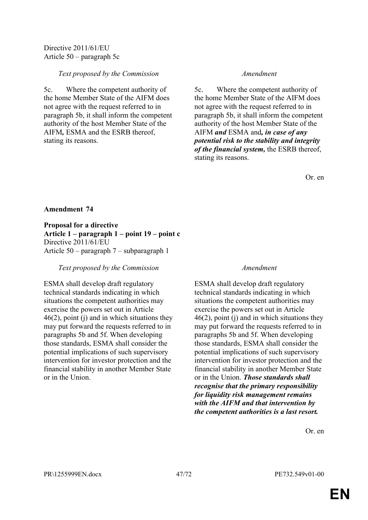## *Text proposed by the Commission Amendment*

5c. Where the competent authority of the home Member State of the AIFM does not agree with the request referred to in paragraph 5b, it shall inform the competent authority of the host Member State of the AIFM*,* ESMA and the ESRB thereof, stating its reasons.

5c. Where the competent authority of the home Member State of the AIFM does not agree with the request referred to in paragraph 5b, it shall inform the competent authority of the host Member State of the AIFM *and* ESMA and*, in case of any potential risk to the stability and integrity of the financial system,* the ESRB thereof, stating its reasons.

Or. en

## **Amendment 74**

**Proposal for a directive Article 1 – paragraph 1 – point 19 – point c** Directive 2011/61/EU Article 50 – paragraph 7 – subparagraph 1

*Text proposed by the Commission Amendment*

ESMA shall develop draft regulatory technical standards indicating in which situations the competent authorities may exercise the powers set out in Article  $46(2)$ , point (j) and in which situations they may put forward the requests referred to in paragraphs 5b and 5f. When developing those standards, ESMA shall consider the potential implications of such supervisory intervention for investor protection and the financial stability in another Member State or in the Union.

ESMA shall develop draft regulatory technical standards indicating in which situations the competent authorities may exercise the powers set out in Article 46(2), point (j) and in which situations they may put forward the requests referred to in paragraphs 5b and 5f. When developing those standards, ESMA shall consider the potential implications of such supervisory intervention for investor protection and the financial stability in another Member State or in the Union. *Those standards shall recognise that the primary responsibility for liquidity risk management remains with the AIFM and that intervention by the competent authorities is a last resort.*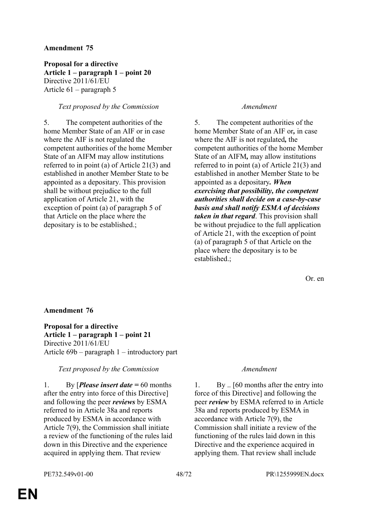**Proposal for a directive Article 1 – paragraph 1 – point 20** Directive 2011/61/EU Article 61 – paragraph 5

### *Text proposed by the Commission Amendment*

5. The competent authorities of the home Member State of an AIF or in case where the AIF is not regulated the competent authorities of the home Member State of an AIFM may allow institutions referred to in point (a) of Article 21(3) and established in another Member State to be appointed as a depositary. This provision shall be without prejudice to the full application of Article 21, with the exception of point (a) of paragraph 5 of that Article on the place where the depositary is to be established.;

5. The competent authorities of the home Member State of an AIF or*,* in case where the AIF is not regulated*,* the competent authorities of the home Member State of an AIFM*,* may allow institutions referred to in point (a) of Article 21(3) and established in another Member State to be appointed as a depositary*. When exercising that possibility, the competent authorities shall decide on a case-by-case basis and shall notify ESMA of decisions taken in that regard*. This provision shall be without prejudice to the full application of Article 21, with the exception of point (a) of paragraph 5 of that Article on the place where the depositary is to be established.;

Or. en

#### **Amendment 76**

**Proposal for a directive Article 1 – paragraph 1 – point 21** Directive 2011/61/EU Article 69b – paragraph 1 – introductory part

*Text proposed by the Commission Amendment*

1. By [*Please insert date =* 60 months after the entry into force of this Directive] and following the peer *reviews* by ESMA referred to in Article 38a and reports produced by ESMA in accordance with Article 7(9), the Commission shall initiate a review of the functioning of the rules laid down in this Directive and the experience acquired in applying them. That review

1. By .. [60 months after the entry into force of this Directive] and following the peer *review* by ESMA referred to in Article 38a and reports produced by ESMA in accordance with Article 7(9), the Commission shall initiate a review of the functioning of the rules laid down in this Directive and the experience acquired in applying them. That review shall include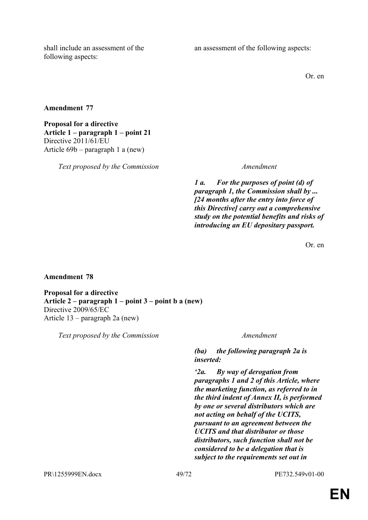shall include an assessment of the following aspects:

an assessment of the following aspects:

Or. en

**Amendment 77**

**Proposal for a directive Article 1 – paragraph 1 – point 21** Directive 2011/61/EU Article 69b – paragraph 1 a (new)

*Text proposed by the Commission Amendment*

*1 a. For the purposes of point (d) of paragraph 1, the Commission shall by ... [24 months after the entry into force of this Directive] carry out a comprehensive study on the potential benefits and risks of introducing an EU depositary passport.*

Or. en

**Amendment 78**

**Proposal for a directive Article 2 – paragraph 1 – point 3 – point b a (new)** Directive 2009/65/EC Article 13 – paragraph 2a (new)

*Text proposed by the Commission Amendment*

*(ba) the following paragraph 2a is inserted:*

*'2a. By way of derogation from paragraphs 1 and 2 of this Article, where the marketing function, as referred to in the third indent of Annex II, is performed by one or several distributors which are not acting on behalf of the UCITS, pursuant to an agreement between the UCITS and that distributor or those distributors, such function shall not be considered to be a delegation that is subject to the requirements set out in* 

PR\1255999EN.docx 49/72 PE732.549v01-00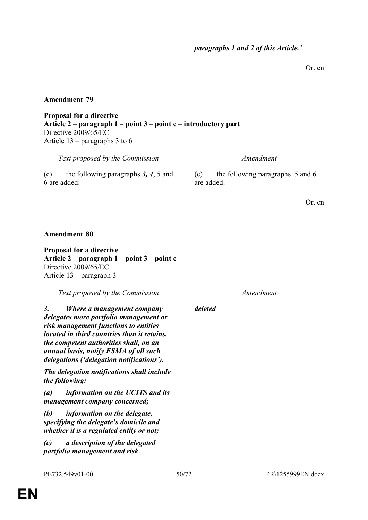Or. en

### **Amendment 79**

**Proposal for a directive Article 2 – paragraph 1 – point 3 – point c – introductory part** Directive 2009/65/EC Article 13 – paragraphs 3 to 6

*Text proposed by the Commission Amendment*

(c) the following paragraphs *3, 4*, 5 and 6 are added:

(c) the following paragraphs 5 and 6 are added:

Or. en

### **Amendment 80**

**Proposal for a directive Article 2 – paragraph 1 – point 3 – point c** Directive 2009/65/EC Article 13 – paragraph 3

*Text proposed by the Commission Amendment*

*3. Where a management company delegates more portfolio management or risk management functions to entities located in third countries than it retains, the competent authorities shall, on an annual basis, notify ESMA of all such delegations ('delegation notifications').*

*The delegation notifications shall include the following:*

*(a) information on the UCITS and its management company concerned;*

*(b) information on the delegate, specifying the delegate's domicile and whether it is a regulated entity or not;*

*(c) a description of the delegated portfolio management and risk* 

*deleted*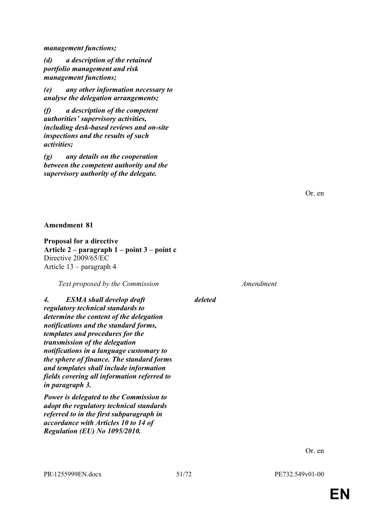*management functions;*

*(d) a description of the retained portfolio management and risk management functions;*

*(e) any other information necessary to analyse the delegation arrangements;*

*(f) a description of the competent authorities' supervisory activities, including desk-based reviews and on-site inspections and the results of such activities;*

*(g) any details on the cooperation between the competent authority and the supervisory authority of the delegate.*

Or. en

### **Amendment 81**

**Proposal for a directive Article 2 – paragraph 1 – point 3 – point c** Directive 2009/65/EC Article 13 – paragraph 4

*Text proposed by the Commission Amendment*

*4. ESMA shall develop draft regulatory technical standards to determine the content of the delegation notifications and the standard forms, templates and procedures for the transmission of the delegation notifications in a language customary to the sphere of finance. The standard forms and templates shall include information fields covering all information referred to in paragraph 3.*

*Power is delegated to the Commission to adopt the regulatory technical standards referred to in the first subparagraph in accordance with Articles 10 to 14 of Regulation (EU) No 1095/2010.*

*deleted*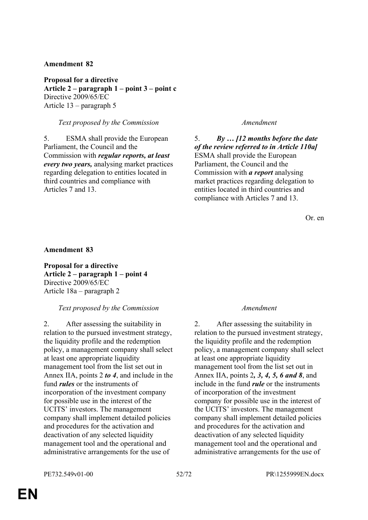**Proposal for a directive Article 2 – paragraph 1 – point 3 – point c** Directive 2009/65/EC Article 13 – paragraph 5

## *Text proposed by the Commission Amendment*

5. ESMA shall provide the European Parliament, the Council and the Commission with *regular reports, at least every two years,* analysing market practices regarding delegation to entities located in third countries and compliance with Articles 7 and 13.

5. *By … [12 months before the date of the review referred to in Article 110a]* ESMA shall provide the European Parliament, the Council and the Commission with *a report* analysing market practices regarding delegation to entities located in third countries and compliance with Articles 7 and 13.

Or. en

### **Amendment 83**

**Proposal for a directive Article 2 – paragraph 1 – point 4** Directive 2009/65/EC Article 18a – paragraph 2

### *Text proposed by the Commission Amendment*

2. After assessing the suitability in relation to the pursued investment strategy, the liquidity profile and the redemption policy, a management company shall select at least one appropriate liquidity management tool from the list set out in Annex IIA, points 2 *to 4*, and include in the fund *rules* or the instruments of incorporation of the investment company for possible use in the interest of the UCITS' investors. The management company shall implement detailed policies and procedures for the activation and deactivation of any selected liquidity management tool and the operational and administrative arrangements for the use of

2. After assessing the suitability in relation to the pursued investment strategy, the liquidity profile and the redemption policy, a management company shall select at least one appropriate liquidity management tool from the list set out in Annex IIA, points 2*, 3, 4, 5, 6 and 8*, and include in the fund *rule* or the instruments of incorporation of the investment company for possible use in the interest of the UCITS' investors. The management company shall implement detailed policies and procedures for the activation and deactivation of any selected liquidity management tool and the operational and administrative arrangements for the use of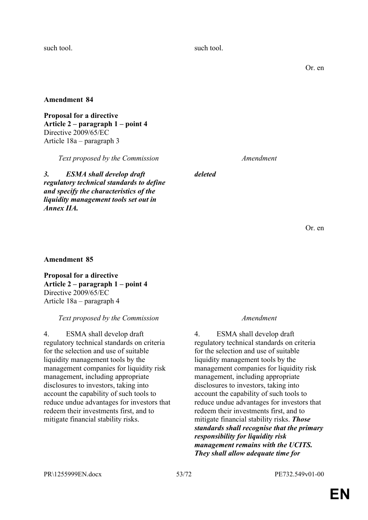such tool. Such tool.

Or. en

**Amendment 84**

**Proposal for a directive Article 2 – paragraph 1 – point 4** Directive 2009/65/EC Article 18a – paragraph 3

*Text proposed by the Commission Amendment*

*3. ESMA shall develop draft regulatory technical standards to define and specify the characteristics of the liquidity management tools set out in Annex IIA.*

*deleted*

Or. en

## **Amendment 85**

**Proposal for a directive Article 2 – paragraph 1 – point 4** Directive 2009/65/EC Article 18a – paragraph 4

## *Text proposed by the Commission Amendment*

4. ESMA shall develop draft regulatory technical standards on criteria for the selection and use of suitable liquidity management tools by the management companies for liquidity risk management, including appropriate disclosures to investors, taking into account the capability of such tools to reduce undue advantages for investors that redeem their investments first, and to mitigate financial stability risks.

4. ESMA shall develop draft regulatory technical standards on criteria for the selection and use of suitable liquidity management tools by the management companies for liquidity risk management, including appropriate disclosures to investors, taking into account the capability of such tools to reduce undue advantages for investors that redeem their investments first, and to mitigate financial stability risks. *Those standards shall recognise that the primary responsibility for liquidity risk management remains with the UCITS. They shall allow adequate time for*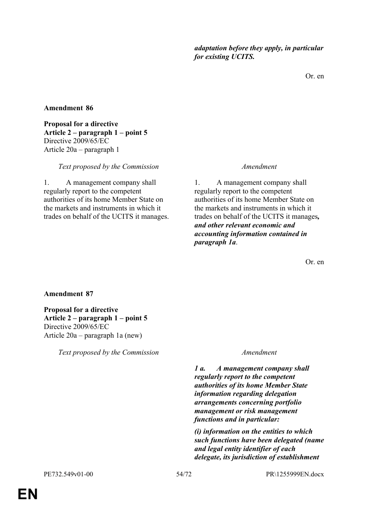*adaptation before they apply, in particular for existing UCITS.*

Or. en

### **Amendment 86**

**Proposal for a directive Article 2 – paragraph 1 – point 5** Directive 2009/65/EC Article 20a – paragraph 1

#### *Text proposed by the Commission Amendment*

1. A management company shall regularly report to the competent authorities of its home Member State on the markets and instruments in which it trades on behalf of the UCITS it manages.

1. A management company shall regularly report to the competent authorities of its home Member State on the markets and instruments in which it trades on behalf of the UCITS it manages*, and other relevant economic and accounting information contained in paragraph 1a*.

Or. en

### **Amendment 87**

**Proposal for a directive Article 2 – paragraph 1 – point 5** Directive 2009/65/EC Article 20a – paragraph 1a (new)

*Text proposed by the Commission Amendment*

*1 a. A management company shall regularly report to the competent authorities of its home Member State information regarding delegation arrangements concerning portfolio management or risk management functions and in particular:*

*(i) information on the entities to which such functions have been delegated (name and legal entity identifier of each delegate, its jurisdiction of establishment*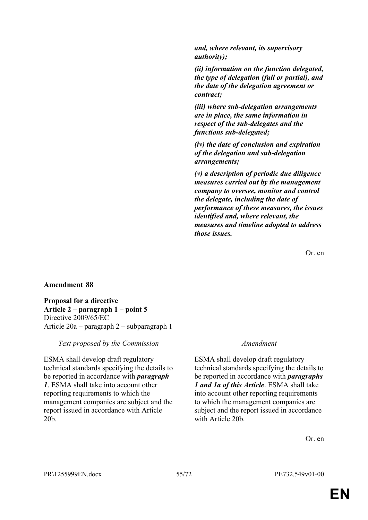*and, where relevant, its supervisory authority);*

*(ii) information on the function delegated, the type of delegation (full or partial), and the date of the delegation agreement or contract;*

*(iii) where sub-delegation arrangements are in place, the same information in respect of the sub-delegates and the functions sub-delegated;*

*(iv) the date of conclusion and expiration of the delegation and sub-delegation arrangements;*

*(v) a description of periodic due diligence measures carried out by the management company to oversee, monitor and control the delegate, including the date of performance of these measures, the issues identified and, where relevant, the measures and timeline adopted to address those issues.*

Or. en

### **Amendment 88**

**Proposal for a directive Article 2 – paragraph 1 – point 5** Directive 2009/65/EC Article 20a – paragraph 2 – subparagraph 1

#### *Text proposed by the Commission Amendment*

ESMA shall develop draft regulatory technical standards specifying the details to be reported in accordance with *paragraph 1*. ESMA shall take into account other reporting requirements to which the management companies are subject and the report issued in accordance with Article 20b.

ESMA shall develop draft regulatory technical standards specifying the details to be reported in accordance with *paragraphs 1 and 1a of this Article*. ESMA shall take into account other reporting requirements to which the management companies are subject and the report issued in accordance with Article 20b.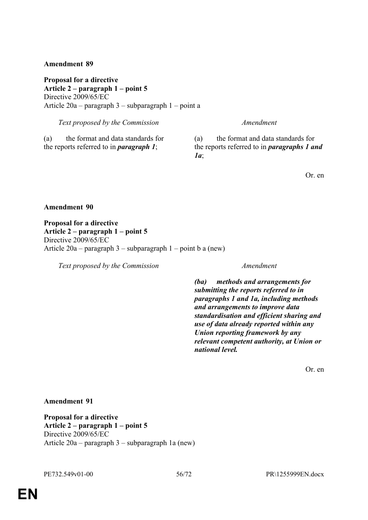**Proposal for a directive Article 2 – paragraph 1 – point 5** Directive 2009/65/EC Article 20a – paragraph 3 – subparagraph 1 – point a

*Text proposed by the Commission Amendment*

(a) the format and data standards for the reports referred to in *paragraph 1*;

(a) the format and data standards for the reports referred to in *paragraphs 1 and 1a*;

Or. en

### **Amendment 90**

**Proposal for a directive Article 2 – paragraph 1 – point 5** Directive 2009/65/EC Article  $20a$  – paragraph 3 – subparagraph 1 – point b a (new)

*Text proposed by the Commission Amendment*

*(ba) methods and arrangements for submitting the reports referred to in paragraphs 1 and 1a, including methods and arrangements to improve data standardisation and efficient sharing and use of data already reported within any Union reporting framework by any relevant competent authority, at Union or national level.*

Or. en

### **Amendment 91**

**Proposal for a directive Article 2 – paragraph 1 – point 5** Directive 2009/65/EC Article 20a – paragraph 3 – subparagraph 1a (new)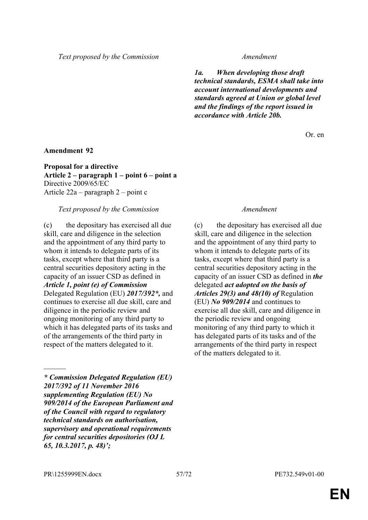*Text proposed by the Commission Amendment*

*1a. When developing those draft technical standards, ESMA shall take into account international developments and standards agreed at Union or global level and the findings of the report issued in accordance with Article 20b.*

Or. en

### **Amendment 92**

**Proposal for a directive Article 2 – paragraph 1 – point 6 – point a** Directive 2009/65/EC Article 22a – paragraph 2 – point c

### *Text proposed by the Commission Amendment*

(c) the depositary has exercised all due skill, care and diligence in the selection and the appointment of any third party to whom it intends to delegate parts of its tasks, except where that third party is a central securities depository acting in the capacity of an issuer CSD as defined in *Article 1, point (e) of Commission* Delegated Regulation (EU) *2017/392\*,* and continues to exercise all due skill, care and diligence in the periodic review and ongoing monitoring of any third party to which it has delegated parts of its tasks and of the arrangements of the third party in respect of the matters delegated to it.

*\* Commission Delegated Regulation (EU) 2017/392 of 11 November 2016 supplementing Regulation (EU) No 909/2014 of the European Parliament and of the Council with regard to regulatory technical standards on authorisation, supervisory and operational requirements for central securities depositories (OJ L 65, 10.3.2017, p. 48)';*

(c) the depositary has exercised all due skill, care and diligence in the selection and the appointment of any third party to whom it intends to delegate parts of its tasks, except where that third party is a central securities depository acting in the capacity of an issuer CSD as defined in *the* delegated *act adopted on the basis of Articles 29(3) and 48(10) of* Regulation (EU) *No 909/2014* and continues to exercise all due skill, care and diligence in the periodic review and ongoing monitoring of any third party to which it has delegated parts of its tasks and of the arrangements of the third party in respect of the matters delegated to it.

 $\mathcal{L}$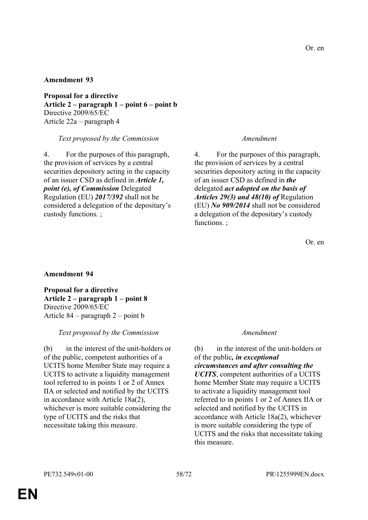**Proposal for a directive Article 2 – paragraph 1 – point 6 – point b** Directive 2009/65/EC Article 22a – paragraph 4

### *Text proposed by the Commission Amendment*

4. For the purposes of this paragraph, the provision of services by a central securities depository acting in the capacity of an issuer CSD as defined in *Article 1, point (e), of Commission* Delegated Regulation (EU) *2017/392* shall not be considered a delegation of the depositary's custody functions. ;

4. For the purposes of this paragraph, the provision of services by a central securities depository acting in the capacity of an issuer CSD as defined in *the* delegated *act adopted on the basis of Articles 29(3) and 48(10) of* Regulation (EU) *No 909/2014* shall not be considered a delegation of the depositary's custody functions. :

Or. en

### **Amendment 94**

**Proposal for a directive Article 2 – paragraph 1 – point 8** Directive 2009/65/EC Article 84 – paragraph 2 – point b

### *Text proposed by the Commission Amendment*

(b) in the interest of the unit-holders or of the public, competent authorities of a UCITS home Member State may require a UCITS to activate a liquidity management tool referred to in points 1 or 2 of Annex IIA or selected and notified by the UCITS in accordance with Article 18a(2), whichever is more suitable considering the type of UCITS and the risks that necessitate taking this measure.

(b) in the interest of the unit-holders or of the public*, in exceptional circumstances and after consulting the UCITS*, competent authorities of a UCITS home Member State may require a UCITS to activate a liquidity management tool referred to in points 1 or 2 of Annex IIA or selected and notified by the UCITS in accordance with Article 18a(2), whichever is more suitable considering the type of UCITS and the risks that necessitate taking this measure.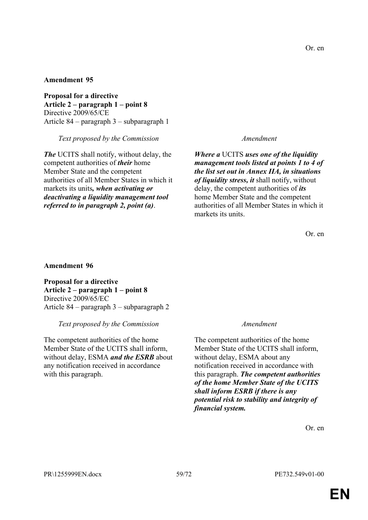**Proposal for a directive Article 2 – paragraph 1 – point 8** Directive 2009/65/CE Article 84 – paragraph 3 – subparagraph 1

*Text proposed by the Commission Amendment*

*The* UCITS shall notify, without delay, the competent authorities of *their* home Member State and the competent authorities of all Member States in which it markets its units*, when activating or deactivating a liquidity management tool referred to in paragraph 2, point (a)*.

*Where a* UCITS *uses one of the liquidity management tools listed at points 1 to 4 of the list set out in Annex IIA, in situations of liquidity stress, it* shall notify, without delay, the competent authorities of *its* home Member State and the competent authorities of all Member States in which it markets its units.

Or. en

### **Amendment 96**

**Proposal for a directive Article 2 – paragraph 1 – point 8** Directive 2009/65/EC Article 84 – paragraph 3 – subparagraph 2

### *Text proposed by the Commission Amendment*

The competent authorities of the home Member State of the UCITS shall inform, without delay, ESMA *and the ESRB* about any notification received in accordance with this paragraph.

The competent authorities of the home Member State of the UCITS shall inform, without delay, ESMA about any notification received in accordance with this paragraph. *The competent authorities of the home Member State of the UCITS shall inform ESRB if there is any potential risk to stability and integrity of financial system.*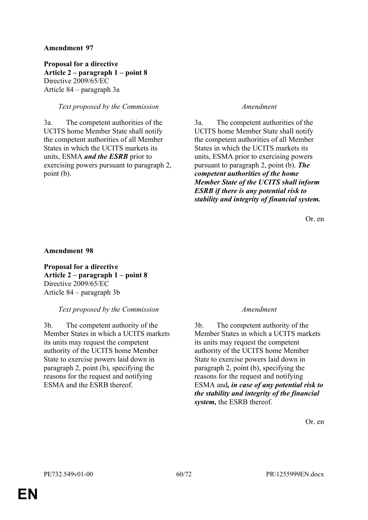**Proposal for a directive Article 2 – paragraph 1 – point 8** Directive 2009/65/EC Article 84 – paragraph 3a

## *Text proposed by the Commission Amendment*

3a. The competent authorities of the UCITS home Member State shall notify the competent authorities of all Member States in which the UCITS markets its units, ESMA *and the ESRB* prior to exercising powers pursuant to paragraph 2, point (b).

3a. The competent authorities of the UCITS home Member State shall notify the competent authorities of all Member States in which the UCITS markets its units, ESMA prior to exercising powers pursuant to paragraph 2, point (b). *The competent authorities of the home Member State of the UCITS shall inform ESRB if there is any potential risk to stability and integrity of financial system.*

Or. en

### **Amendment 98**

**Proposal for a directive Article 2 – paragraph 1 – point 8** Directive 2009/65/EC Article 84 – paragraph 3b

## *Text proposed by the Commission Amendment*

3b. The competent authority of the Member States in which a UCITS markets its units may request the competent authority of the UCITS home Member State to exercise powers laid down in paragraph 2, point (b), specifying the reasons for the request and notifying ESMA and the ESRB thereof.

3b. The competent authority of the Member States in which a UCITS markets its units may request the competent authority of the UCITS home Member State to exercise powers laid down in paragraph 2, point (b), specifying the reasons for the request and notifying ESMA and*, in case of any potential risk to the stability and integrity of the financial system,* the ESRB thereof.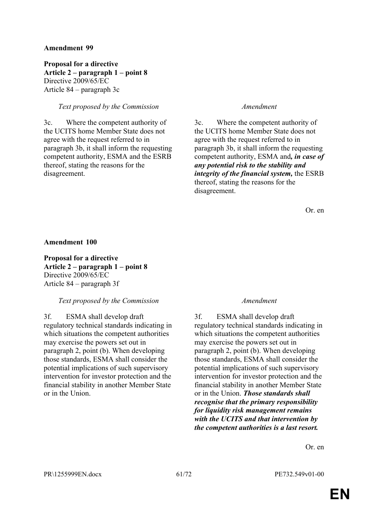**Proposal for a directive Article 2 – paragraph 1 – point 8** Directive 2009/65/EC Article 84 – paragraph 3c

## *Text proposed by the Commission Amendment*

3c. Where the competent authority of the UCITS home Member State does not agree with the request referred to in paragraph 3b, it shall inform the requesting competent authority, ESMA and the ESRB thereof, stating the reasons for the disagreement.

3c. Where the competent authority of the UCITS home Member State does not agree with the request referred to in paragraph 3b, it shall inform the requesting competent authority, ESMA and*, in case of any potential risk to the stability and integrity of the financial system,* the ESRB thereof, stating the reasons for the disagreement.

Or. en

### **Amendment 100**

**Proposal for a directive Article 2 – paragraph 1 – point 8** Directive 2009/65/EC Article 84 – paragraph 3f

### *Text proposed by the Commission Amendment*

3f. ESMA shall develop draft regulatory technical standards indicating in which situations the competent authorities may exercise the powers set out in paragraph 2, point (b). When developing those standards, ESMA shall consider the potential implications of such supervisory intervention for investor protection and the financial stability in another Member State or in the Union.

3f. ESMA shall develop draft regulatory technical standards indicating in which situations the competent authorities may exercise the powers set out in paragraph 2, point (b). When developing those standards, ESMA shall consider the potential implications of such supervisory intervention for investor protection and the financial stability in another Member State or in the Union. *Those standards shall recognise that the primary responsibility for liquidity risk management remains with the UCITS and that intervention by the competent authorities is a last resort.*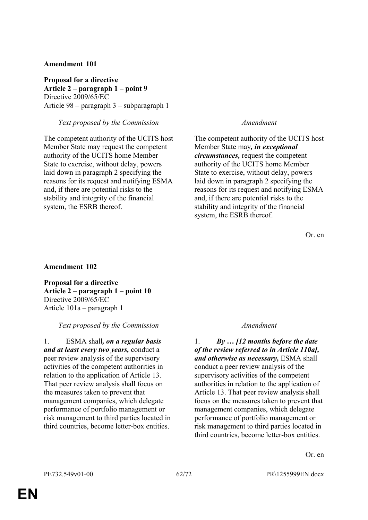**Proposal for a directive Article 2 – paragraph 1 – point 9** Directive 2009/65/EC Article 98 – paragraph 3 – subparagraph 1

*Text proposed by the Commission Amendment*

The competent authority of the UCITS host Member State may request the competent authority of the UCITS home Member State to exercise, without delay, powers laid down in paragraph 2 specifying the reasons for its request and notifying ESMA and, if there are potential risks to the stability and integrity of the financial system, the ESRB thereof.

The competent authority of the UCITS host Member State may*, in exceptional circumstances,* request the competent authority of the UCITS home Member State to exercise, without delay, powers laid down in paragraph 2 specifying the reasons for its request and notifying ESMA and, if there are potential risks to the stability and integrity of the financial system, the ESRB thereof.

Or. en

### **Amendment 102**

**Proposal for a directive Article 2 – paragraph 1 – point 10** Directive 2009/65/EC Article 101a – paragraph 1

### *Text proposed by the Commission Amendment*

1. ESMA shall*, on a regular basis and at least every two years,* conduct a peer review analysis of the supervisory activities of the competent authorities in relation to the application of Article 13. That peer review analysis shall focus on the measures taken to prevent that management companies, which delegate performance of portfolio management or risk management to third parties located in third countries, become letter-box entities.

1. *By … [12 months before the date of the review referred to in Article 110a], and otherwise as necessary,* ESMA shall conduct a peer review analysis of the supervisory activities of the competent authorities in relation to the application of Article 13. That peer review analysis shall focus on the measures taken to prevent that management companies, which delegate performance of portfolio management or risk management to third parties located in third countries, become letter-box entities.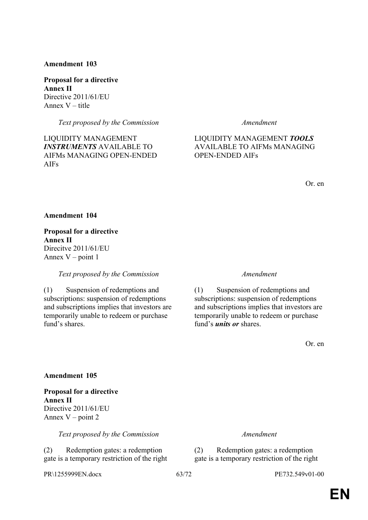**Proposal for a directive Annex II** Directive 2011/61/EU Annex V – title

*Text proposed by the Commission Amendment*

LIQUIDITY MANAGEMENT *INSTRUMENTS* AVAILABLE TO AIFMs MANAGING OPEN-ENDED AIFs

## LIQUIDITY MANAGEMENT *TOOLS* AVAILABLE TO AIFMs MANAGING OPEN-ENDED AIFs

Or. en

### **Amendment 104**

**Proposal for a directive Annex II** Direcitve 2011/61/EU Annex  $V$  – point 1

*Text proposed by the Commission Amendment*

(1) Suspension of redemptions and subscriptions: suspension of redemptions and subscriptions implies that investors are temporarily unable to redeem or purchase fund's shares.

(1) Suspension of redemptions and subscriptions: suspension of redemptions and subscriptions implies that investors are temporarily unable to redeem or purchase fund's *units or* shares.

Or. en

### **Amendment 105**

**Proposal for a directive Annex II** Directive 2011/61/EU Annex  $V$  – point 2

*Text proposed by the Commission Amendment*

(2) Redemption gates: a redemption gate is a temporary restriction of the right

PR\1255999EN.docx 63/72 PE732.549v01-00

(2) Redemption gates: a redemption gate is a temporary restriction of the right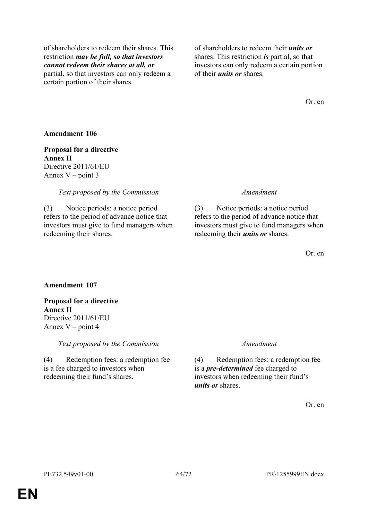of shareholders to redeem their shares. This restriction *may be full, so that investors cannot redeem their shares at all, or* partial, so that investors can only redeem a certain portion of their shares.

of shareholders to redeem their *units or* shares. This restriction *is* partial, so that investors can only redeem a certain portion of their *units or* shares.

Or. en

### **Amendment 106**

**Proposal for a directive Annex II** Directive 2011/61/EU Annex  $V$  – point 3

#### *Text proposed by the Commission Amendment*

(3) Notice periods: a notice period refers to the period of advance notice that investors must give to fund managers when redeeming their shares.

(3) Notice periods: a notice period refers to the period of advance notice that investors must give to fund managers when redeeming their *units or* shares.

Or. en

#### **Amendment 107**

**Proposal for a directive Annex II** Directive 2011/61/EU Annex  $V$  – point 4

*Text proposed by the Commission Amendment*

(4) Redemption fees: a redemption fee is a fee charged to investors when redeeming their fund's shares.

(4) Redemption fees: a redemption fee is a *pre-determined* fee charged to investors when redeeming their fund's *units or* shares.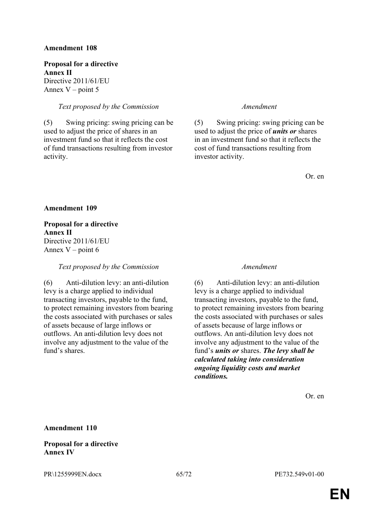**Proposal for a directive Annex II** Directive 2011/61/EU Annex  $V$  – point 5

## *Text proposed by the Commission Amendment*

(5) Swing pricing: swing pricing can be used to adjust the price of shares in an investment fund so that it reflects the cost of fund transactions resulting from investor activity.

(5) Swing pricing: swing pricing can be used to adjust the price of *units or* shares in an investment fund so that it reflects the cost of fund transactions resulting from investor activity.

Or. en

**Amendment 109**

**Proposal for a directive Annex II** Directive 2011/61/EU Annex  $V$  – point 6

### *Text proposed by the Commission Amendment*

(6) Anti-dilution levy: an anti-dilution levy is a charge applied to individual transacting investors, payable to the fund, to protect remaining investors from bearing the costs associated with purchases or sales of assets because of large inflows or outflows. An anti-dilution levy does not involve any adjustment to the value of the fund's shares

(6) Anti-dilution levy: an anti-dilution levy is a charge applied to individual transacting investors, payable to the fund, to protect remaining investors from bearing the costs associated with purchases or sales of assets because of large inflows or outflows. An anti-dilution levy does not involve any adjustment to the value of the fund's *units or* shares. *The levy shall be calculated taking into consideration ongoing liquidity costs and market conditions.*

Or. en

**Amendment 110**

### **Proposal for a directive Annex IV**

PR\1255999EN.docx 65/72 PE732.549v01-00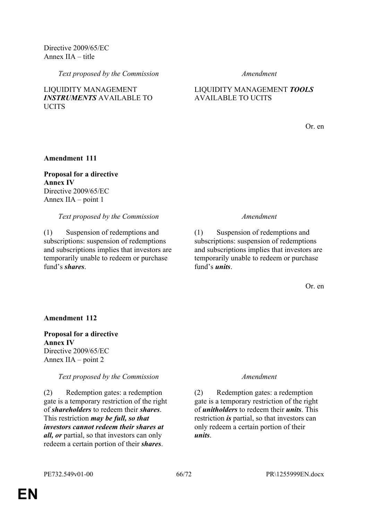Directive 2009/65/EC Annex IIA – title

*Text proposed by the Commission Amendment*

## LIQUIDITY MANAGEMENT *INSTRUMENTS* AVAILABLE TO **UCITS**

## LIQUIDITY MANAGEMENT *TOOLS* AVAILABLE TO UCITS

Or. en

**Amendment 111**

**Proposal for a directive Annex IV** Directive 2009/65/EC Annex IIA – point 1

## *Text proposed by the Commission Amendment*

(1) Suspension of redemptions and subscriptions: suspension of redemptions and subscriptions implies that investors are temporarily unable to redeem or purchase fund's *shares*.

(1) Suspension of redemptions and subscriptions: suspension of redemptions and subscriptions implies that investors are temporarily unable to redeem or purchase fund's *units*.

Or. en

### **Amendment 112**

**Proposal for a directive Annex IV** Directive 2009/65/EC Annex IIA – point 2

*Text proposed by the Commission Amendment*

(2) Redemption gates: a redemption gate is a temporary restriction of the right of *shareholders* to redeem their *shares*. This restriction *may be full, so that investors cannot redeem their shares at all, or* partial, so that investors can only redeem a certain portion of their *shares*.

(2) Redemption gates: a redemption gate is a temporary restriction of the right of *unitholders* to redeem their *units*. This restriction *is* partial, so that investors can only redeem a certain portion of their *units*.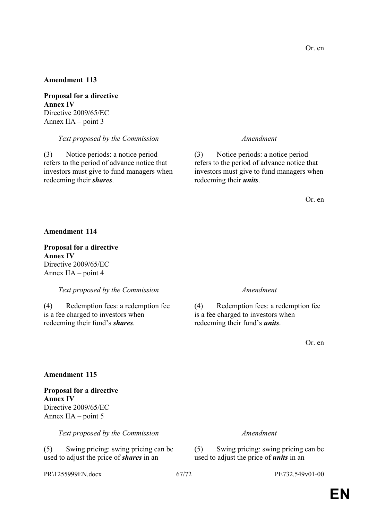**Proposal for a directive Annex IV** Directive 2009/65/EC Annex IIA – point 3

*Text proposed by the Commission Amendment*

(3) Notice periods: a notice period refers to the period of advance notice that investors must give to fund managers when redeeming their *shares*.

(3) Notice periods: a notice period refers to the period of advance notice that investors must give to fund managers when redeeming their *units*.

Or. en

#### **Amendment 114**

**Proposal for a directive Annex IV** Directive 2009/65/EC Annex IIA – point 4

*Text proposed by the Commission Amendment*

(4) Redemption fees: a redemption fee is a fee charged to investors when redeeming their fund's *shares*.

(4) Redemption fees: a redemption fee is a fee charged to investors when redeeming their fund's *units*.

Or. en

#### **Amendment 115**

**Proposal for a directive Annex IV** Directive 2009/65/EC Annex IIA – point 5

*Text proposed by the Commission Amendment*

(5) Swing pricing: swing pricing can be used to adjust the price of *shares* in an

PR\1255999EN.docx 67/72 PE732.549v01-00

(5) Swing pricing: swing pricing can be used to adjust the price of *units* in an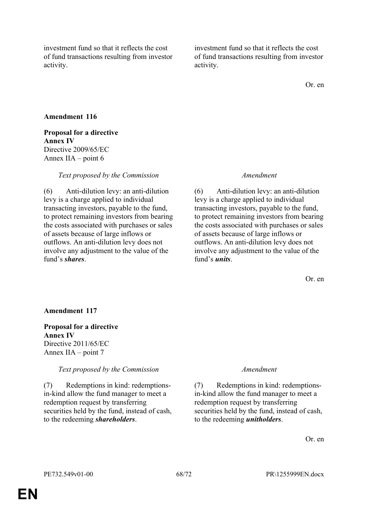investment fund so that it reflects the cost of fund transactions resulting from investor activity.

investment fund so that it reflects the cost of fund transactions resulting from investor activity.

Or. en

## **Amendment 116**

## **Proposal for a directive Annex IV** Directive 2009/65/EC Annex IIA – point 6

*Text proposed by the Commission Amendment*

(6) Anti-dilution levy: an anti-dilution levy is a charge applied to individual transacting investors, payable to the fund, to protect remaining investors from bearing the costs associated with purchases or sales of assets because of large inflows or outflows. An anti-dilution levy does not involve any adjustment to the value of the fund's *shares*.

(6) Anti-dilution levy: an anti-dilution levy is a charge applied to individual transacting investors, payable to the fund, to protect remaining investors from bearing the costs associated with purchases or sales of assets because of large inflows or outflows. An anti-dilution levy does not involve any adjustment to the value of the fund's *units*.

Or. en

## **Amendment 117**

## **Proposal for a directive Annex IV** Directive 2011/65/EC Annex IIA – point 7

*Text proposed by the Commission Amendment*

(7) Redemptions in kind: redemptionsin-kind allow the fund manager to meet a redemption request by transferring securities held by the fund, instead of cash, to the redeeming *shareholders*.

(7) Redemptions in kind: redemptionsin-kind allow the fund manager to meet a redemption request by transferring securities held by the fund, instead of cash, to the redeeming *unitholders*.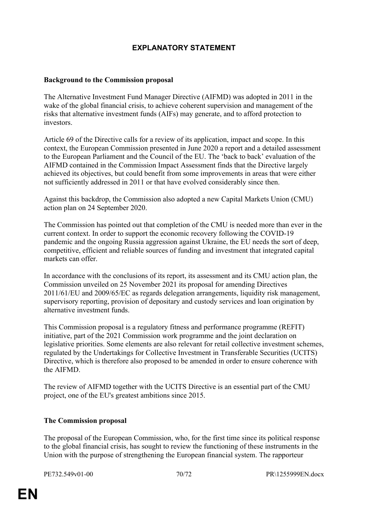# **EXPLANATORY STATEMENT**

## **Background to the Commission proposal**

The Alternative Investment Fund Manager Directive (AIFMD) was adopted in 2011 in the wake of the global financial crisis, to achieve coherent supervision and management of the risks that alternative investment funds (AIFs) may generate, and to afford protection to investors.

Article 69 of the Directive calls for a review of its application, impact and scope. In this context, the European Commission presented in June 2020 a report and a detailed assessment to the European Parliament and the Council of the EU. The 'back to back' evaluation of the AIFMD contained in the Commission Impact Assessment finds that the Directive largely achieved its objectives, but could benefit from some improvements in areas that were either not sufficiently addressed in 2011 or that have evolved considerably since then.

Against this backdrop, the Commission also adopted a new Capital Markets Union (CMU) action plan on 24 September 2020.

The Commission has pointed out that completion of the CMU is needed more than ever in the current context. In order to support the economic recovery following the COVID-19 pandemic and the ongoing Russia aggression against Ukraine, the EU needs the sort of deep, competitive, efficient and reliable sources of funding and investment that integrated capital markets can offer.

In accordance with the conclusions of its report, its assessment and its CMU action plan, the Commission unveiled on 25 November 2021 its proposal for amending Directives 2011/61/EU and 2009/65/EC as regards delegation arrangements, liquidity risk management, supervisory reporting, provision of depositary and custody services and loan origination by alternative investment funds.

This Commission proposal is a regulatory fitness and performance programme (REFIT) initiative, part of the 2021 Commission work programme and the joint declaration on legislative priorities. Some elements are also relevant for retail collective investment schemes, regulated by the Undertakings for Collective Investment in Transferable Securities (UCITS) Directive, which is therefore also proposed to be amended in order to ensure coherence with the AIFMD.

The review of AIFMD together with the UCITS Directive is an essential part of the CMU project, one of the EU's greatest ambitions since 2015.

### **The Commission proposal**

The proposal of the European Commission, who, for the first time since its political response to the global financial crisis, has sought to review the functioning of these instruments in the Union with the purpose of strengthening the European financial system. The rapporteur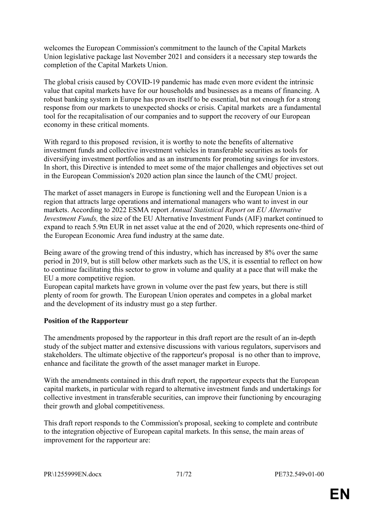welcomes the European Commission's commitment to the launch of the Capital Markets Union legislative package last November 2021 and considers it a necessary step towards the completion of the Capital Markets Union.

The global crisis caused by COVID-19 pandemic has made even more evident the intrinsic value that capital markets have for our households and businesses as a means of financing. A robust banking system in Europe has proven itself to be essential, but not enough for a strong response from our markets to unexpected shocks or crisis. Capital markets are a fundamental tool for the recapitalisation of our companies and to support the recovery of our European economy in these critical moments.

With regard to this proposed revision, it is worthy to note the benefits of alternative investment funds and collective investment vehicles in transferable securities as tools for diversifying investment portfolios and as an instruments for promoting savings for investors. In short, this Directive is intended to meet some of the major challenges and objectives set out in the European Commission's 2020 action plan since the launch of the CMU project.

The market of asset managers in Europe is functioning well and the European Union is a region that attracts large operations and international managers who want to invest in our markets. According to 2022 ESMA report *Annual Statistical Report on EU Alternative Investment Funds,* the size of the EU Alternative Investment Funds (AIF) market continued to expand to reach 5.9tn EUR in net asset value at the end of 2020, which represents one-third of the European Economic Area fund industry at the same date.

Being aware of the growing trend of this industry, which has increased by 8% over the same period in 2019, but is still below other markets such as the US, it is essential to reflect on how to continue facilitating this sector to grow in volume and quality at a pace that will make the EU a more competitive region.

European capital markets have grown in volume over the past few years, but there is still plenty of room for growth. The European Union operates and competes in a global market and the development of its industry must go a step further.

## **Position of the Rapporteur**

The amendments proposed by the rapporteur in this draft report are the result of an in-depth study of the subject matter and extensive discussions with various regulators, supervisors and stakeholders. The ultimate objective of the rapporteur's proposal is no other than to improve, enhance and facilitate the growth of the asset manager market in Europe.

With the amendments contained in this draft report, the rapporteur expects that the European capital markets, in particular with regard to alternative investment funds and undertakings for collective investment in transferable securities, can improve their functioning by encouraging their growth and global competitiveness.

This draft report responds to the Commission's proposal, seeking to complete and contribute to the integration objective of European capital markets. In this sense, the main areas of improvement for the rapporteur are: